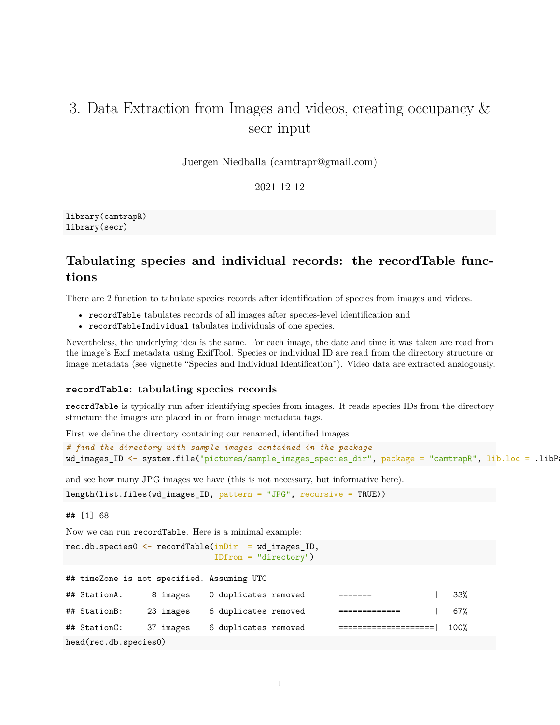# 3. Data Extraction from Images and videos, creating occupancy & secr input

Juergen Niedballa [\(camtrapr@gmail.com\)](mailto:camtrapr@gmail.com)

2021-12-12

library(camtrapR) library(secr)

## **Tabulating species and individual records: the recordTable functions**

There are 2 function to tabulate species records after identification of species from images and videos.

- recordTable tabulates records of all images after species-level identification and
- recordTableIndividual tabulates individuals of one species.

Nevertheless, the underlying idea is the same. For each image, the date and time it was taken are read from the image's Exif metadata using ExifTool. Species or individual ID are read from the directory structure or image metadata (see vignette "Species and Individual Identification"). Video data are extracted analogously.

### **recordTable: tabulating species records**

recordTable is typically run after identifying species from images. It reads species IDs from the directory structure the images are placed in or from image metadata tags.

First we define the directory containing our renamed, identified images

```
# find the directory with sample images contained in the package
wd_images_ID <- system.file("pictures/sample_images_species_dir", package = "camtrapR", lib.loc = .libP
```
and see how many JPG images we have (this is not necessary, but informative here).

length(list.files(wd\_images\_ID, pattern = "JPG", recursive = TRUE))

## [1] 68

Now we can run recordTable. Here is a minimal example:

```
rec.db.species0 <- recordTable(inDir = wd_images_ID,
                               IDfrom = "directory")
```

|  |  |  |  | ## timeZone is not specified. Assuming UTC |  |  |
|--|--|--|--|--------------------------------------------|--|--|
|--|--|--|--|--------------------------------------------|--|--|

| ## StationA:          | 8 images  | 0 duplicates removed |  |                        | 33%              |
|-----------------------|-----------|----------------------|--|------------------------|------------------|
| ## StationB:          | 23 images | 6 duplicates removed |  | <u>  =============</u> | 67%              |
| ## StationC:          | 37 images | 6 duplicates removed |  |                        | 100 <sup>%</sup> |
| head(rec.db.species0) |           |                      |  |                        |                  |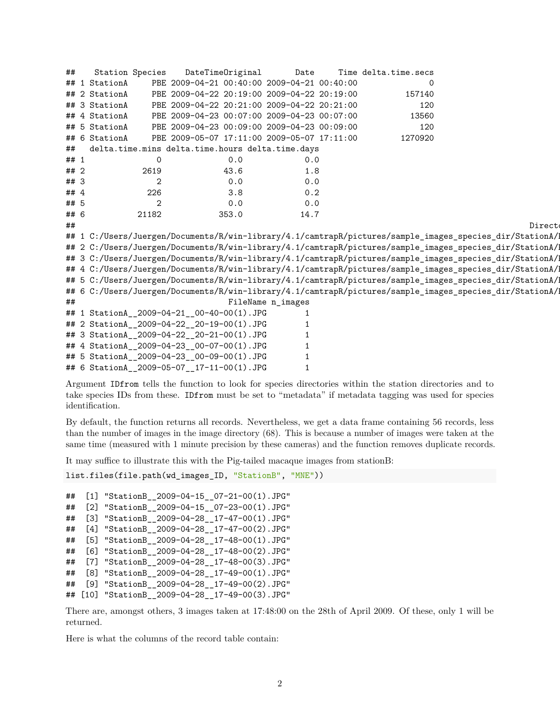| ##   | <b>Station Species</b> |                |                                            | DateTimeOriginal | Date                                             | Time delta.time.secs |                                                                                                          |
|------|------------------------|----------------|--------------------------------------------|------------------|--------------------------------------------------|----------------------|----------------------------------------------------------------------------------------------------------|
|      | ## 1 StationA          |                |                                            |                  | PBE 2009-04-21 00:40:00 2009-04-21 00:40:00      | 0                    |                                                                                                          |
|      | ## 2 StationA          |                |                                            |                  | PBE 2009-04-22 20:19:00 2009-04-22 20:19:00      | 157140               |                                                                                                          |
|      | ## 3 StationA          |                |                                            |                  | PBE 2009-04-22 20:21:00 2009-04-22 20:21:00      | 120                  |                                                                                                          |
|      | ## 4 StationA          |                |                                            |                  | PBE 2009-04-23 00:07:00 2009-04-23 00:07:00      | 13560                |                                                                                                          |
|      | ## 5 StationA          |                |                                            |                  | PBE 2009-04-23 00:09:00 2009-04-23 00:09:00      | 120                  |                                                                                                          |
|      | ## 6 StationA          |                |                                            |                  | PBE 2009-05-07 17:11:00 2009-05-07 17:11:00      | 1270920              |                                                                                                          |
| ##   |                        |                |                                            |                  | delta.time.mins delta.time.hours delta.time.days |                      |                                                                                                          |
| ## 1 |                        | 0              |                                            | 0.0              | 0.0                                              |                      |                                                                                                          |
| ##2  |                        | 2619           |                                            | 43.6             | 1.8                                              |                      |                                                                                                          |
| ## 3 |                        | $\overline{2}$ |                                            | 0.0              | 0.0                                              |                      |                                                                                                          |
| ## 4 |                        | 226            |                                            | 3.8              | 0.2                                              |                      |                                                                                                          |
| ## 5 |                        | $\mathbf{2}$   |                                            | 0.0              | 0.0                                              |                      |                                                                                                          |
| ## 6 |                        | 21182          |                                            | 353.0            | 14.7                                             |                      |                                                                                                          |
| ##   |                        |                |                                            |                  |                                                  |                      | Direct                                                                                                   |
|      |                        |                |                                            |                  |                                                  |                      | ## 1 C:/Users/Juergen/Documents/R/win-library/4.1/camtrapR/pictures/sample_images_species_dir/StationA/1 |
|      |                        |                |                                            |                  |                                                  |                      | ## 2 C:/Users/Juergen/Documents/R/win-library/4.1/camtrapR/pictures/sample_images_species_dir/StationA/1 |
|      |                        |                |                                            |                  |                                                  |                      | ## 3 C:/Users/Juergen/Documents/R/win-library/4.1/camtrapR/pictures/sample_images_species_dir/StationA/1 |
|      |                        |                |                                            |                  |                                                  |                      | ## 4 C:/Users/Juergen/Documents/R/win-library/4.1/camtrapR/pictures/sample_images_species_dir/StationA/1 |
|      |                        |                |                                            |                  |                                                  |                      | ## 5 C:/Users/Juergen/Documents/R/win-library/4.1/camtrapR/pictures/sample_images_species_dir/StationA/1 |
|      |                        |                |                                            |                  |                                                  |                      | ## 6 C:/Users/Juergen/Documents/R/win-library/4.1/camtrapR/pictures/sample_images_species_dir/StationA/  |
| ##   |                        |                |                                            |                  | FileName n_images                                |                      |                                                                                                          |
|      |                        |                | ## 1 StationA_2009-04-21_00-40-00(1).JPG   |                  | 1                                                |                      |                                                                                                          |
|      |                        |                | ## 2 StationA_2009-04-22_20-19-00(1).JPG   |                  |                                                  |                      |                                                                                                          |
|      |                        |                | ## 3 StationA_2009-04-22_20-21-00(1).JPG   |                  |                                                  |                      |                                                                                                          |
|      |                        |                | ## 4 StationA_2009-04-23_00-07-00(1).JPG   |                  | 1                                                |                      |                                                                                                          |
|      |                        |                | ## 5 StationA__2009-04-23__00-09-00(1).JPG |                  |                                                  |                      |                                                                                                          |
|      |                        |                | ## 6 StationA 2009-05-07 17-11-00(1).JPG   |                  |                                                  |                      |                                                                                                          |

Argument IDfrom tells the function to look for species directories within the station directories and to take species IDs from these. IDfrom must be set to "metadata" if metadata tagging was used for species identification.

By default, the function returns all records. Nevertheless, we get a data frame containing 56 records, less than the number of images in the image directory (68). This is because a number of images were taken at the same time (measured with 1 minute precision by these cameras) and the function removes duplicate records.

It may suffice to illustrate this with the Pig-tailed macaque images from stationB:

```
list.files(file.path(wd_images_ID, "StationB", "MNE"))
```

```
## [1] "StationB__2009-04-15__07-21-00(1).JPG"
## [2] "StationB__2009-04-15__07-23-00(1).JPG"
## [3] "StationB__2009-04-28__17-47-00(1).JPG"
## [4] "StationB__2009-04-28__17-47-00(2).JPG"
## [5] "StationB 2009-04-28 17-48-00(1).JPG"
## [6] "StationB__2009-04-28__17-48-00(2).JPG"
## [7] "StationB__2009-04-28__17-48-00(3).JPG"
## [8] "StationB__2009-04-28__17-49-00(1).JPG"
## [9] "StationB__2009-04-28__17-49-00(2).JPG"
## [10] "StationB__2009-04-28__17-49-00(3).JPG"
```
There are, amongst others, 3 images taken at 17:48:00 on the 28th of April 2009. Of these, only 1 will be returned.

Here is what the columns of the record table contain: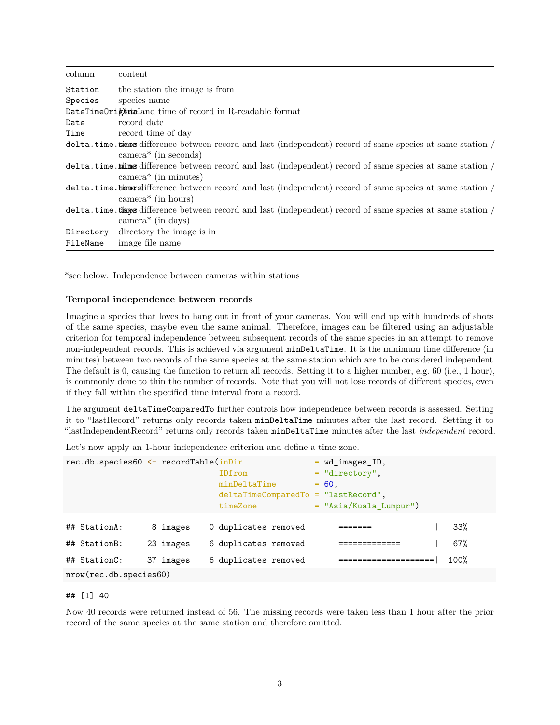| column   | content                                                                                                                                      |
|----------|----------------------------------------------------------------------------------------------------------------------------------------------|
| Station  | the station the image is from                                                                                                                |
| Species  | species name                                                                                                                                 |
|          | DateTimeOrightaland time of record in R-readable format                                                                                      |
| Date     | record date                                                                                                                                  |
| Time     | record time of day                                                                                                                           |
|          | delta.time.times difference between record and last (independent) record of same species at same station /<br>$\text{camera}^*$ (in seconds) |
|          | delta.time.times difference between record and last (independent) record of same species at same station /<br>$\text{camera}^*$ (in minutes) |
|          | delta.time.hiourslifference between record and last (independent) record of same species at same station /<br>$\text{camera}^*$ (in hours)   |
|          | delta.time.tianys difference between record and last (independent) record of same species at same station /<br>$\text{camera}^*$ (in days)   |
| FileName | Directory directory the image is in<br>image file name                                                                                       |

\*see below: Independence between cameras within stations

#### **Temporal independence between records**

Imagine a species that loves to hang out in front of your cameras. You will end up with hundreds of shots of the same species, maybe even the same animal. Therefore, images can be filtered using an adjustable criterion for temporal independence between subsequent records of the same species in an attempt to remove non-independent records. This is achieved via argument minDeltaTime. It is the minimum time difference (in minutes) between two records of the same species at the same station which are to be considered independent. The default is 0, causing the function to return all records. Setting it to a higher number, e.g. 60 (i.e., 1 hour), is commonly done to thin the number of records. Note that you will not lose records of different species, even if they fall within the specified time interval from a record.

The argument deltaTimeComparedTo further controls how independence between records is assessed. Setting it to "lastRecord" returns only records taken minDeltaTime minutes after the last record. Setting it to "lastIndependentRecord" returns only records taken minDeltaTime minutes after the last *independent* record.

Let's now apply an 1-hour independence criterion and define a time zone.

| $rec.db.\text{species}60 \leftarrow recordTable(inDir$ |           |                                        | $=$ wd images ID,        |      |
|--------------------------------------------------------|-----------|----------------------------------------|--------------------------|------|
|                                                        |           | IDfrom                                 | $=$ "directory",         |      |
|                                                        |           | minDeltaTime                           | $= 60.$                  |      |
|                                                        |           | $delta$ TimeComparedTo = "lastRecord", |                          |      |
|                                                        |           | timeZone                               | $=$ "Asia/Kuala_Lumpur") |      |
|                                                        |           |                                        |                          |      |
| ## StationA:                                           | 8 images  | 0 duplicates removed                   | $=$ $=$ $=$ $=$ $=$ $=$  | 33%  |
| ## StationB:                                           | 23 images | 6 duplicates removed                   | =============            | 67%  |
| ## StationC:                                           | 37 images | 6 duplicates removed                   | ====================     | 100% |
| $nrow(recdb.\text{species60})$                         |           |                                        |                          |      |

#### ## [1] 40

Now 40 records were returned instead of 56. The missing records were taken less than 1 hour after the prior record of the same species at the same station and therefore omitted.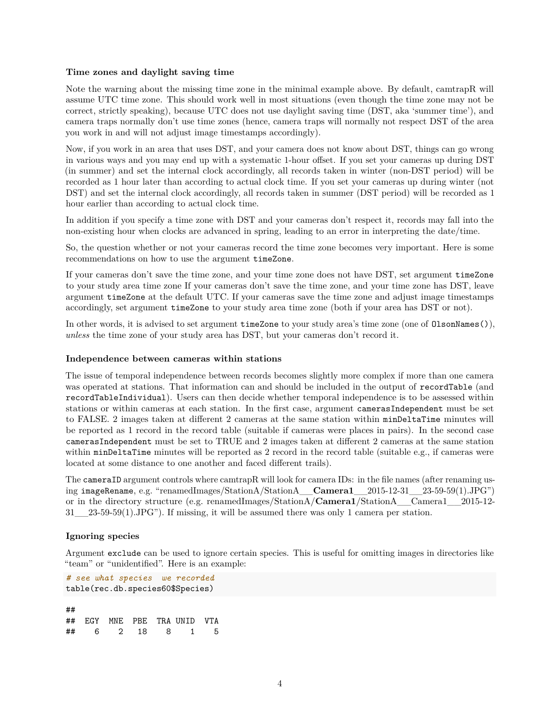#### **Time zones and daylight saving time**

Note the warning about the missing time zone in the minimal example above. By default, camtrapR will assume UTC time zone. This should work well in most situations (even though the time zone may not be correct, strictly speaking), because UTC does not use daylight saving time (DST, aka 'summer time'), and camera traps normally don't use time zones (hence, camera traps will normally not respect DST of the area you work in and will not adjust image timestamps accordingly).

Now, if you work in an area that uses DST, and your camera does not know about DST, things can go wrong in various ways and you may end up with a systematic 1-hour offset. If you set your cameras up during DST (in summer) and set the internal clock accordingly, all records taken in winter (non-DST period) will be recorded as 1 hour later than according to actual clock time. If you set your cameras up during winter (not DST) and set the internal clock accordingly, all records taken in summer (DST period) will be recorded as 1 hour earlier than according to actual clock time.

In addition if you specify a time zone with DST and your cameras don't respect it, records may fall into the non-existing hour when clocks are advanced in spring, leading to an error in interpreting the date/time.

So, the question whether or not your cameras record the time zone becomes very important. Here is some recommendations on how to use the argument timeZone.

If your cameras don't save the time zone, and your time zone does not have DST, set argument timeZone to your study area time zone If your cameras don't save the time zone, and your time zone has DST, leave argument timeZone at the default UTC. If your cameras save the time zone and adjust image timestamps accordingly, set argument timeZone to your study area time zone (both if your area has DST or not).

In other words, it is advised to set argument timeZone to your study area's time zone (one of OlsonNames()), *unless* the time zone of your study area has DST, but your cameras don't record it.

#### **Independence between cameras within stations**

The issue of temporal independence between records becomes slightly more complex if more than one camera was operated at stations. That information can and should be included in the output of recordTable (and recordTableIndividual). Users can then decide whether temporal independence is to be assessed within stations or within cameras at each station. In the first case, argument camerasIndependent must be set to FALSE. 2 images taken at different 2 cameras at the same station within minDeltaTime minutes will be reported as 1 record in the record table (suitable if cameras were places in pairs). In the second case camerasIndependent must be set to TRUE and 2 images taken at different 2 cameras at the same station within minDeltaTime minutes will be reported as 2 record in the record table (suitable e.g., if cameras were located at some distance to one another and faced different trails).

The cameraID argument controls where camtrapR will look for camera IDs: in the file names (after renaming using imageRename, e.g. "renamedImages/StationA/StationA\_\_**Camera1**\_\_2015-12-31\_\_23-59-59(1).JPG") or in the directory structure (e.g. renamedImages/StationA/**Camera1**/StationA\_\_Camera1\_\_2015-12- 31\_\_23-59-59(1).JPG"). If missing, it will be assumed there was only 1 camera per station.

#### **Ignoring species**

Argument exclude can be used to ignore certain species. This is useful for omitting images in directories like "team" or "unidentified". Here is an example:

```
# see what species we recorded
table(rec.db.species60$Species)
##
## EGY MNE PBE TRA UNID VTA
## 6 2 18 8 1 5
```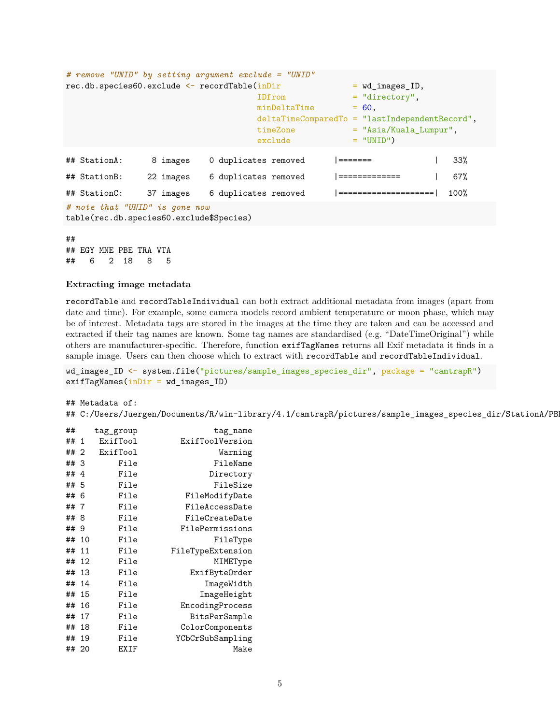| # remove "UNID" by setting argument exclude = "UNID"                       |           |                      |                                                  |      |
|----------------------------------------------------------------------------|-----------|----------------------|--------------------------------------------------|------|
| rec.db.species60.exclude <- recordTable(inDir                              |           |                      | $=$ wd images ID,                                |      |
|                                                                            |           | IDfrom               | $=$ "directory".                                 |      |
|                                                                            |           | minDeltaTime         | $= 60.$                                          |      |
|                                                                            |           |                      | $deltaTimeComparedTo = "lastIndependentRecord",$ |      |
|                                                                            |           | timeZone             | $=$ "Asia/Kuala_Lumpur",                         |      |
|                                                                            |           | exclude              | $=$ "UNID")                                      |      |
|                                                                            |           |                      |                                                  |      |
| ## StationA:                                                               | 8 images  | 0 duplicates removed |                                                  | 33%  |
| ## StationB:                                                               | 22 images | 6 duplicates removed | =============                                    | 67%  |
| ## StationC:                                                               | 37 images | 6 duplicates removed | =====================                            | 100% |
| # note that "UNID" is gone now<br>table(rec.db.species60.exclude\$Species) |           |                      |                                                  |      |

##

## EGY MNE PBE TRA VTA ## 6 2 18 8 5

#### **Extracting image metadata**

recordTable and recordTableIndividual can both extract additional metadata from images (apart from date and time). For example, some camera models record ambient temperature or moon phase, which may be of interest. Metadata tags are stored in the images at the time they are taken and can be accessed and extracted if their tag names are known. Some tag names are standardised (e.g. "DateTimeOriginal") while others are manufacturer-specific. Therefore, function exifTagNames returns all Exif metadata it finds in a sample image. Users can then choose which to extract with recordTable and recordTableIndividual.

wd\_images\_ID <- system.file("pictures/sample\_images\_species\_dir", package = "camtrapR")  $exifTagNames(inDir = wd_inagesID)$ 

## Metadata of:

## C:/Users/Juergen/Documents/R/win-library/4.1/camtrapR/pictures/sample\_images\_species\_dir/StationA/PB

| ##    |    | tag_group | tag_name          |
|-------|----|-----------|-------------------|
| ##    | 1  | ExifTool  | ExifToolVersion   |
| ##    | 2  | ExifTool  | Warning           |
| ##    | 3  | File      | FileName          |
| ##    | 4  | File      | Directory         |
| ##    | 5  | File      | FileSize          |
| ##    | 6  | File      | FileModifyDate    |
| ##    | 7  | File      | FileAccessDate    |
| ##    | 8  | File      | FileCreateDate    |
| ##    | 9  | File      | FilePermissions   |
| ##    | 10 | File      | FileType          |
| ##    | 11 | File      | FileTypeExtension |
| ##    | 12 | File      | MIMEType          |
| ##    | 13 | File      | ExifByteOrder     |
| ##    | 14 | File      | ImageWidth        |
| ##    | 15 | File      | ImageHeight       |
| ##    | 16 | File      | EncodingProcess   |
| ##    | 17 | File      | BitsPerSample     |
| ##    | 18 | File      | ColorComponents   |
| ##    | 19 | File      | YCbCrSubSampling  |
| ## 20 |    | EXIF      | Make              |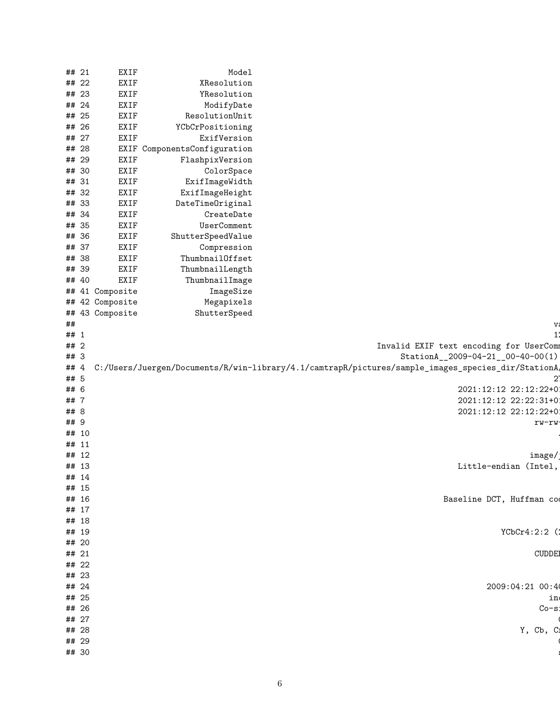|                                                                                                   | Model                        | <b>EXIF</b>     | ## 21 |       |
|---------------------------------------------------------------------------------------------------|------------------------------|-----------------|-------|-------|
|                                                                                                   | XResolution                  | <b>EXIF</b>     | ## 22 |       |
|                                                                                                   | YResolution                  | <b>EXIF</b>     | ## 23 |       |
|                                                                                                   | ModifyDate                   | <b>EXIF</b>     | ## 24 |       |
|                                                                                                   | ResolutionUnit               | <b>EXIF</b>     | ## 25 |       |
|                                                                                                   | YCbCrPositioning             | <b>EXIF</b>     | ## 26 |       |
|                                                                                                   | ExifVersion                  | <b>EXIF</b>     | ## 27 |       |
|                                                                                                   | EXIF ComponentsConfiguration |                 | ## 28 |       |
|                                                                                                   | FlashpixVersion              | <b>EXIF</b>     | ## 29 |       |
|                                                                                                   | ColorSpace                   | <b>EXIF</b>     | ## 30 |       |
|                                                                                                   | ExifImageWidth               | <b>EXIF</b>     | ## 31 |       |
|                                                                                                   | ExifImageHeight              | <b>EXIF</b>     | ## 32 |       |
|                                                                                                   | DateTimeOriginal             | <b>EXIF</b>     | ## 33 |       |
|                                                                                                   | CreateDate                   | <b>EXIF</b>     | ## 34 |       |
|                                                                                                   | UserComment                  | <b>EXIF</b>     | ## 35 |       |
|                                                                                                   | ShutterSpeedValue            | <b>EXIF</b>     | ## 36 |       |
|                                                                                                   | Compression                  | <b>EXIF</b>     | ## 37 |       |
|                                                                                                   | ThumbnailOffset              | <b>EXIF</b>     | ## 38 |       |
|                                                                                                   | ThumbnailLength              | <b>EXIF</b>     | ## 39 |       |
|                                                                                                   | ThumbnailImage               | <b>EXIF</b>     | ## 40 |       |
|                                                                                                   | ImageSize                    | ## 41 Composite |       |       |
|                                                                                                   | Megapixels                   | ## 42 Composite |       |       |
|                                                                                                   | ShutterSpeed                 | ## 43 Composite |       |       |
| V.                                                                                                |                              |                 |       | ##    |
| 11                                                                                                |                              |                 |       | ## 1  |
| Invalid EXIF text encoding for UserComm                                                           |                              |                 |       | ## 2  |
| StationA__2009-04-21_00-40-00(1)                                                                  |                              |                 |       | ## 3  |
| C:/Users/Juergen/Documents/R/win-library/4.1/camtrapR/pictures/sample_images_species_dir/StationA |                              |                 |       | ## 4  |
| 2'                                                                                                |                              |                 |       | ## 5  |
| 2021:12:12 22:12:22+0                                                                             |                              |                 |       | ## 6  |
| 2021:12:12 22:22:31+0                                                                             |                              |                 |       | ## 7  |
| 2021:12:12 22:12:22+0                                                                             |                              |                 |       | ## 8  |
| rw-rw                                                                                             |                              |                 |       | ## 9  |
|                                                                                                   |                              |                 | ## 10 |       |
|                                                                                                   |                              |                 | ## 11 |       |
| image/                                                                                            |                              |                 | ## 12 |       |
| Little-endian (Intel,                                                                             |                              |                 | ## 13 |       |
|                                                                                                   |                              |                 | ## 14 |       |
|                                                                                                   |                              |                 | ## 15 |       |
| Baseline DCT, Huffman cod                                                                         |                              |                 | ## 16 |       |
|                                                                                                   |                              |                 | ## 17 |       |
|                                                                                                   |                              |                 | ## 18 |       |
| YCbCr4:2:2 (1                                                                                     |                              |                 | ## 19 |       |
|                                                                                                   |                              |                 | ## 20 |       |
| <b>CUDDE!</b>                                                                                     |                              |                 | ## 21 |       |
|                                                                                                   |                              |                 | ## 22 |       |
|                                                                                                   |                              |                 | ## 23 |       |
| 2009:04:21 00:4                                                                                   |                              |                 | ## 24 |       |
| in                                                                                                |                              |                 | ## 25 |       |
| $Co-s$                                                                                            |                              |                 | ## 26 |       |
|                                                                                                   |                              |                 | ## 27 |       |
| Y, Cb, C:                                                                                         |                              |                 | ## 28 |       |
|                                                                                                   |                              |                 |       | ## 29 |
|                                                                                                   |                              |                 |       |       |
|                                                                                                   |                              |                 | ## 30 |       |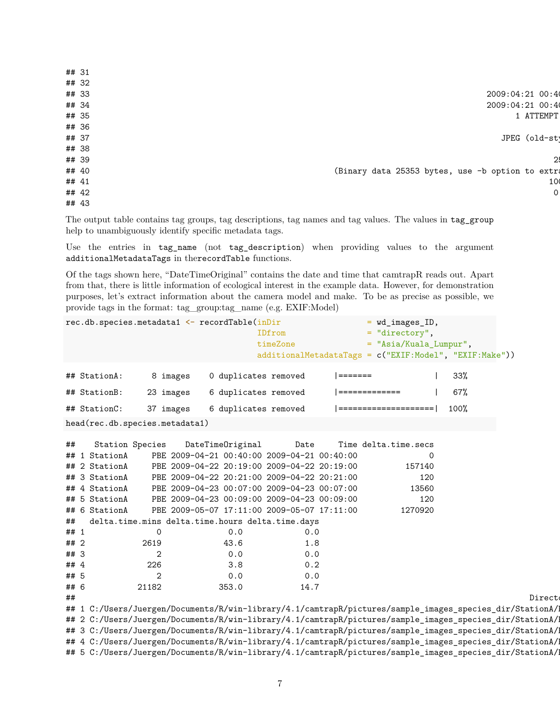| ## 31 |                                                  |
|-------|--------------------------------------------------|
| ## 32 |                                                  |
| ## 33 | 2009:04:21 00:4                                  |
| ## 34 | 2009:04:21 00:4                                  |
| ## 35 | 1 ATTEMPT                                        |
| ## 36 |                                                  |
| ## 37 | JPEG (old-st)                                    |
| ## 38 |                                                  |
| ## 39 | 2!                                               |
| ## 40 | (Binary data 25353 bytes, use -b option to extra |
| ## 41 | 10                                               |
| ## 42 | 0                                                |
| ## 43 |                                                  |

The output table contains tag groups, tag descriptions, tag names and tag values. The values in tag\_group help to unambiguously identify specific metadata tags.

Use the entries in tag\_name (not tag\_description) when providing values to the argument additionalMetadataTags in therecordTable functions.

Of the tags shown here, "DateTimeOriginal" contains the date and time that camtrapR reads out. Apart from that, there is little information of ecological interest in the example data. However, for demonstration purposes, let's extract information about the camera model and make. To be as precise as possible, we provide tags in the format: tag\_group:tag\_name (e.g. EXIF:Model)

|      | rec.db.species.metadata1 <- recordTable(inDir |                |           |                      | IDfrom<br>timeZone                                  |         | = wd_images_ID,<br>$=$ "directory",<br>= "Asia/Kuala Lumpur",<br>additionalMetadataTags = c("EXIF:Model", "EXIF:Make")) |      |        |
|------|-----------------------------------------------|----------------|-----------|----------------------|-----------------------------------------------------|---------|-------------------------------------------------------------------------------------------------------------------------|------|--------|
|      | ## StationA:                                  |                | 8 images  | 0 duplicates removed |                                                     | ======= |                                                                                                                         | 33%  |        |
|      | ## StationB:                                  |                | 23 images | 6 duplicates removed |                                                     |         | =============                                                                                                           | 67%  |        |
|      | ## StationC:                                  |                | 37 images | 6 duplicates removed |                                                     |         |                                                                                                                         | 100% |        |
|      | head(rec.db.species.metadata1)                |                |           |                      |                                                     |         |                                                                                                                         |      |        |
| ##   | <b>Station Species</b><br>## 1 StationA       |                |           | DateTimeOriginal     | Date<br>PBE 2009-04-21 00:40:00 2009-04-21 00:40:00 |         | Time delta.time.secs<br>0                                                                                               |      |        |
|      | ## 2 StationA                                 |                |           |                      | PBE 2009-04-22 20:19:00 2009-04-22 20:19:00         |         | 157140                                                                                                                  |      |        |
|      | ## 3 StationA                                 |                |           |                      | PBE 2009-04-22 20:21:00 2009-04-22 20:21:00         |         | 120                                                                                                                     |      |        |
|      | ## 4 StationA                                 |                |           |                      | PBE 2009-04-23 00:07:00 2009-04-23 00:07:00         |         | 13560                                                                                                                   |      |        |
|      | ## 5 StationA                                 |                |           |                      | PBE 2009-04-23 00:09:00 2009-04-23 00:09:00         |         | 120                                                                                                                     |      |        |
|      | ## 6 StationA                                 |                |           |                      | PBE 2009-05-07 17:11:00 2009-05-07 17:11:00         |         | 1270920                                                                                                                 |      |        |
| ##   |                                               |                |           |                      | delta.time.mins delta.time.hours delta.time.days    |         |                                                                                                                         |      |        |
| ## 1 |                                               | 0              |           | 0.0                  | 0.0                                                 |         |                                                                                                                         |      |        |
| ## 2 |                                               | 2619           |           | 43.6                 | 1.8                                                 |         |                                                                                                                         |      |        |
| ## 3 |                                               | $\overline{2}$ |           | 0.0                  | 0.0                                                 |         |                                                                                                                         |      |        |
| ## 4 |                                               | 226            |           | 3.8                  | 0.2                                                 |         |                                                                                                                         |      |        |
| ## 5 |                                               | $\overline{2}$ |           | 0.0                  | 0.0                                                 |         |                                                                                                                         |      |        |
| ## 6 |                                               | 21182          |           | 353.0                | 14.7                                                |         |                                                                                                                         |      |        |
| ##   |                                               |                |           |                      |                                                     |         |                                                                                                                         |      | Direct |
|      |                                               |                |           |                      |                                                     |         | ## 1 C:/Users/Juergen/Documents/R/win-library/4.1/camtrapR/pictures/sample_images_species_dir/StationA/1                |      |        |
|      |                                               |                |           |                      |                                                     |         | ## 2 C:/Users/Juergen/Documents/R/win-library/4.1/camtrapR/pictures/sample_images_species_dir/StationA/1                |      |        |
|      |                                               |                |           |                      |                                                     |         | ## 3 C:/Users/Juergen/Documents/R/win-library/4.1/camtrapR/pictures/sample_images_species_dir/StationA/1                |      |        |
|      |                                               |                |           |                      |                                                     |         | ## 4 C:/Users/Juergen/Documents/R/win-library/4.1/camtrapR/pictures/sample_images_species_dir/StationA/1                |      |        |
|      |                                               |                |           |                      |                                                     |         | ## 5 C:/Users/Juergen/Documents/R/win-library/4.1/camtrapR/pictures/sample_images_species_dir/StationA/1                |      |        |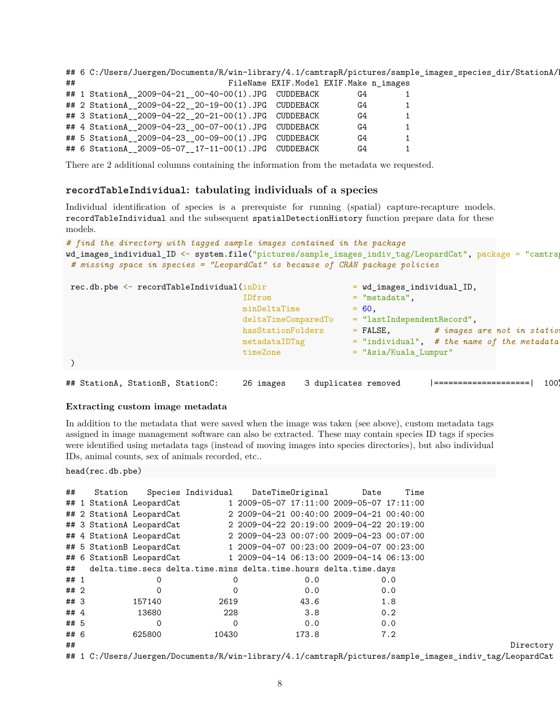## 6 C:/Users/Juergen/Documents/R/win-library/4.1/camtrapR/pictures/sample\_images\_species\_dir/StationA/ ## FileName EXIF.Model EXIF.Make n\_images ## 1 StationA\_\_2009-04-21\_\_00-40-00(1).JPG CUDDEBACK G4 1 ## 2 StationA\_\_2009-04-22\_\_20-19-00(1).JPG CUDDEBACK G4 1 ## 3 StationA\_\_2009-04-22\_\_20-21-00(1).JPG CUDDEBACK G4 1 ## 4 StationA\_\_2009-04-23\_\_00-07-00(1).JPG CUDDEBACK G4 1 ## 5 StationA\_\_2009-04-23\_\_00-09-00(1).JPG CUDDEBACK G4 1 ## 6 StationA\_\_2009-05-07\_\_17-11-00(1).JPG CUDDEBACK G4 1

There are 2 additional columns containing the information from the metadata we requested.

### **recordTableIndividual: tabulating individuals of a species**

Individual identification of species is a prerequiste for running (spatial) capture-recapture models. recordTableIndividual and the subsequent spatialDetectionHistory function prepare data for these models.

```
# find the directory with tagged sample images contained in the package
wd_images_individual_ID <- system.file("pictures/sample_images_indiv_tag/LeopardCat", package = "camtra
 # missing space in species = "LeopardCat" is because of CRAN package policies
```

| $rec.db. pbe \leftarrow recordTableIndividual(inDir)$ |                                                                    | $=$ wd_images_individual_ID,                                                                           |
|-------------------------------------------------------|--------------------------------------------------------------------|--------------------------------------------------------------------------------------------------------|
|                                                       | IDfrom<br>minDeltaTime<br>deltaTimeComparedTo<br>hasStationFolders | $=$ "metadata".<br>$= 60.$<br>$=$ "lastIndependentRecord",<br># images are not in statio<br>$=$ FALSE, |
|                                                       | metadataIDTag<br>timeZone                                          | $=$ "individual", # the name of the metadata<br>$=$ "Asia/Kuala Lumpur"                                |
| ## StationA, StationB, StationC:                      | 26 images                                                          | 1001<br>3 duplicates removed                                                                           |

#### **Extracting custom image metadata**

In addition to the metadata that were saved when the image was taken (see above), custom metadata tags assigned in image management software can also be extracted. These may contain species ID tags if species were identified using metadata tags (instead of moving images into species directories), but also individual IDs, animal counts, sex of animals recorded, etc..

head(rec.db.pbe)

| ##     | Station                                                          |                          | Species Individual                                               | DateTimeOriginal | Date                                      | Time |           |
|--------|------------------------------------------------------------------|--------------------------|------------------------------------------------------------------|------------------|-------------------------------------------|------|-----------|
|        |                                                                  | ## 1 StationA LeopardCat |                                                                  |                  | 1 2009-05-07 17:11:00 2009-05-07 17:11:00 |      |           |
|        |                                                                  | ## 2 StationA LeopardCat |                                                                  |                  | 2 2009-04-21 00:40:00 2009-04-21 00:40:00 |      |           |
|        |                                                                  | ## 3 StationA LeopardCat |                                                                  |                  | 2 2009-04-22 20:19:00 2009-04-22 20:19:00 |      |           |
|        |                                                                  | ## 4 StationA LeopardCat |                                                                  |                  | 2 2009-04-23 00:07:00 2009-04-23 00:07:00 |      |           |
|        |                                                                  | ## 5 StationB LeopardCat |                                                                  |                  | 1 2009-04-07 00:23:00 2009-04-07 00:23:00 |      |           |
|        |                                                                  | ## 6 StationB LeopardCat |                                                                  |                  | 1 2009-04-14 06:13:00 2009-04-14 06:13:00 |      |           |
| ##     |                                                                  |                          | delta.time.secs delta.time.mins delta.time.hours delta.time.days |                  |                                           |      |           |
| ## 1   |                                                                  | 0                        | 0                                                                | 0.0              |                                           | 0.0  |           |
| ## 2   |                                                                  | 0                        | 0                                                                | 0.0              |                                           | 0.0  |           |
| ##3    |                                                                  | 157140                   | 2619                                                             | 43.6             |                                           | 1.8  |           |
| ## $4$ |                                                                  | 13680                    | 228                                                              | 3.8              |                                           | 0.2  |           |
| ## 5   |                                                                  | 0                        | $\Omega$                                                         | 0.0              |                                           | 0.0  |           |
| ## 6   |                                                                  | 625800                   | 10430                                                            | 173.8            |                                           | 7.2  |           |
| ##     |                                                                  |                          |                                                                  |                  |                                           |      | Directory |
|        | $\mathbf{u}$ $\mathbf{u}$ $\mathbf{v}$ $\mathbf{v}$ $\mathbf{v}$ | $\sqrt{2}$<br>$\sim$     | $\sim$ $\sim$ $\sim$ $\sim$ $\sim$ $\sim$ $\sim$                 |                  |                                           |      |           |

## 1 C:/Users/Juergen/Documents/R/win-library/4.1/camtrapR/pictures/sample\_images\_indiv\_tag/LeopardCat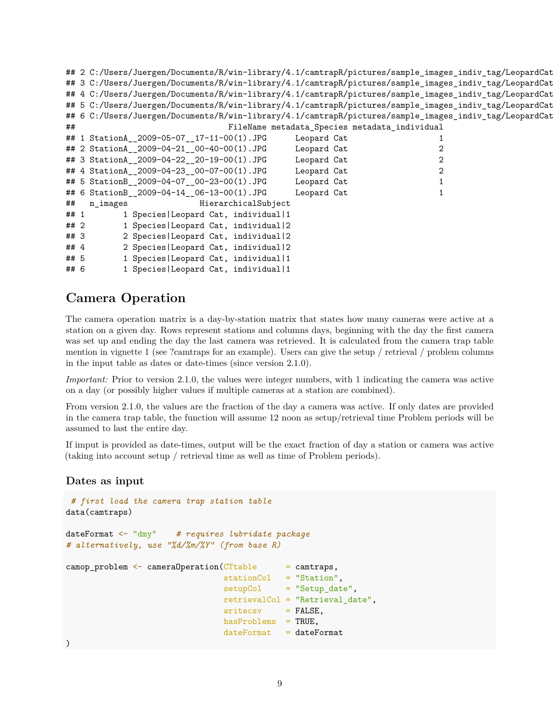```
## 2 C:/Users/Juergen/Documents/R/win-library/4.1/camtrapR/pictures/sample_images_indiv_tag/LeopardCat
## 3 C:/Users/Juergen/Documents/R/win-library/4.1/camtrapR/pictures/sample_images_indiv_tag/LeopardCat
## 4 C:/Users/Juergen/Documents/R/win-library/4.1/camtrapR/pictures/sample_images_indiv_tag/LeopardCat
## 5 C:/Users/Juergen/Documents/R/win-library/4.1/camtrapR/pictures/sample_images_indiv_tag/LeopardCat
## 6 C:/Users/Juergen/Documents/R/win-library/4.1/camtrapR/pictures/sample_images_indiv_tag/LeopardCat
## FileName metadata_Species metadata_individual
## 1 StationA__2009-05-07__17-11-00(1).JPG Leopard Cat 1
## 2 StationA__2009-04-21__00-40-00(1).JPG Leopard Cat 2
## 3 StationA__2009-04-22__20-19-00(1).JPG Leopard Cat 2
## 4 StationA__2009-04-23__00-07-00(1).JPG Leopard Cat 2
## 5 StationB__2009-04-07__00-23-00(1).JPG Leopard Cat 1
## 6 StationB__2009-04-14__06-13-00(1).JPG Leopard Cat 1
## n_images HierarchicalSubject
## 1 1 Species|Leopard Cat, individual|1
## 2 1 Species|Leopard Cat, individual|2
## 3 2 Species|Leopard Cat, individual|2
## 4 2 Species|Leopard Cat, individual|2
## 5 1 Species|Leopard Cat, individual|1
## 6 1 Species|Leopard Cat, individual|1
```
## **Camera Operation**

The camera operation matrix is a day-by-station matrix that states how many cameras were active at a station on a given day. Rows represent stations and columns days, beginning with the day the first camera was set up and ending the day the last camera was retrieved. It is calculated from the camera trap table mention in vignette 1 (see ?camtraps for an example). Users can give the setup / retrieval / problem columns in the input table as dates or date-times (since version 2.1.0).

*Important:* Prior to version 2.1.0, the values were integer numbers, with 1 indicating the camera was active on a day (or possibly higher values if multiple cameras at a station are combined).

From version 2.1.0, the values are the fraction of the day a camera was active. If only dates are provided in the camera trap table, the function will assume 12 noon as setup/retrieval time Problem periods will be assumed to last the entire day.

If imput is provided as date-times, output will be the exact fraction of day a station or camera was active (taking into account setup / retrieval time as well as time of Problem periods).

## **Dates as input**

```
# first load the camera trap station table
data(camtraps)
dateFormat <- "dmy" # requires lubridate package
# alternatively, use "%d/%m/%Y" (from base R)
camp\_problem \leq cameraOperation(CTable = camtras,stationCol = "Station",
                               setupCol = "Setup_date",
                               retrievalCol = "Retrieval_date",
                               writecsv = FALSE,hasProblems = TRUE,
                               dateFormat = dateFormat
```
)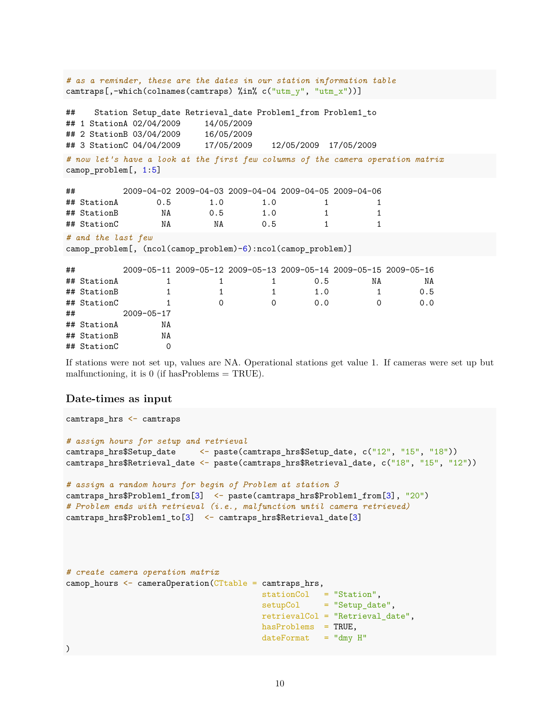```
# as a reminder, these are the dates in our station information table
camtraps[,-which(colnames(camtraps) %in% c("utm_y", "utm_x"))]
## Station Setup_date Retrieval_date Problem1_from Problem1_to
## 1 StationA 02/04/2009 14/05/2009
## 2 StationB 03/04/2009 16/05/2009
## 3 StationC 04/04/2009 17/05/2009 12/05/2009 17/05/2009
# now let's have a look at the first few columns of the camera operation matrix
camop_problem[, 1:5]
## 2009-04-02 2009-04-03 2009-04-04 2009-04-05 2009-04-06
## StationA 0.5 1.0 1.0 1 1
## StationB NA 0.5 1.0 1 1
## StationC NA NA 0.5 1 1
# and the last few
camop_problem[, (ncol(camop_problem)-6):ncol(camop_problem)]
## 2009-05-11 2009-05-12 2009-05-13 2009-05-14 2009-05-15 2009-05-16
## StationA 1 1 1 0.5 NA NA
## StationB 1 1 1 1.0 1 0.5
## StationC 1 0 0 0.0 0 0.0
## 2009-05-17
## StationA NA
## StationB NA
## StationC 0
```
If stations were not set up, values are NA. Operational stations get value 1. If cameras were set up but malfunctioning, it is 0 (if hasProblems  $= \text{TRUE}$ ).

## **Date-times as input**

```
camtraps_hrs <- camtraps
# assign hours for setup and retrieval
camtraps hrs$Setup date \leq paste(camtraps hrs$Setup date, c("12", "15", "18"))
camtraps_hrs$Retrieval_date <- paste(camtraps_hrs$Retrieval_date, c("18", "15", "12"))
# assign a random hours for begin of Problem at station 3
camtraps_hrs$Problem1_from[3] <- paste(camtraps_hrs$Problem1_from[3], "20")
# Problem ends with retrieval (i.e., malfunction until camera retrieved)
camtraps_hrs$Problem1_to[3] <- camtraps_hrs$Retrieval_date[3]
# create camera operation matrix
\texttt{camp\_hours} \leq \texttt{camenOperation}(\texttt{CTable} = \texttt{camtraps\_hrs},stationCol = "Station",
                                           setupCol = "Setup_date",
                                           retrievalCol = "Retrieval_date",
                                           hasProblems = TRUE,
                                           dateFormat = "dmy H"\lambda
```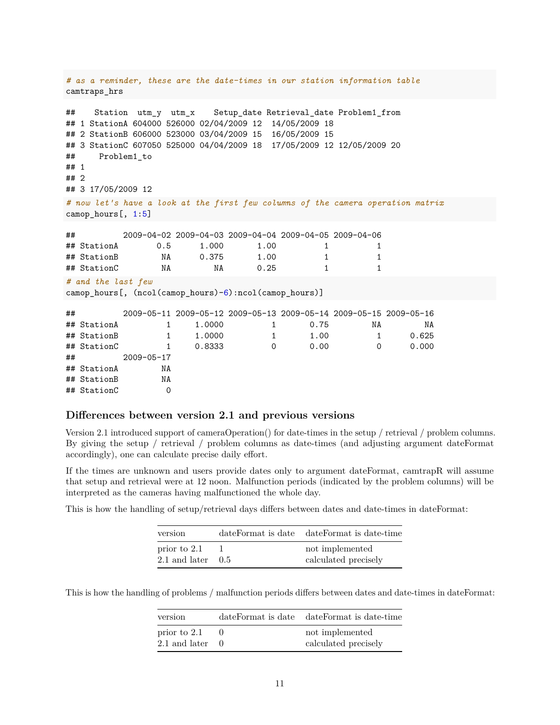```
# as a reminder, these are the date-times in our station information table
camtraps_hrs
## Station utm_y utm_x Setup_date Retrieval_date Problem1_from
## 1 StationA 604000 526000 02/04/2009 12 14/05/2009 18
## 2 StationB 606000 523000 03/04/2009 15 16/05/2009 15
## 3 StationC 607050 525000 04/04/2009 18 17/05/2009 12 12/05/2009 20
## Problem1_to
## 1
## 2
## 3 17/05/2009 12
# now let's have a look at the first few columns of the camera operation matrix
camop_hours[, 1:5]
## 2009-04-02 2009-04-03 2009-04-04 2009-04-05 2009-04-06
## StationA 0.5 1.000 1.00 1 1
## StationB NA 0.375 1.00 1 1
## StationC NA NA 0.25 1 1
# and the last few
camop_hours[, (ncol(camop_hours)-6):ncol(camop_hours)]
## 2009-05-11 2009-05-12 2009-05-13 2009-05-14 2009-05-15 2009-05-16
## StationA 1 1.0000 1 0.75 NA NA
## StationB 1 1.0000 1 1.00 1 0.625
## StationC 1 0.8333 0 0.00 0 0.000
## 2009-05-17
## StationA NA
## StationB NA
## StationC 0
```
### **Differences between version 2.1 and previous versions**

Version 2.1 introduced support of cameraOperation() for date-times in the setup / retrieval / problem columns. By giving the setup / retrieval / problem columns as date-times (and adjusting argument dateFormat accordingly), one can calculate precise daily effort.

If the times are unknown and users provide dates only to argument dateFormat, camtrapR will assume that setup and retrieval were at 12 noon. Malfunction periods (indicated by the problem columns) will be interpreted as the cameras having malfunctioned the whole day.

This is how the handling of setup/retrieval days differs between dates and date-times in dateFormat:

| version                       |      | dateFormat is date dateFormat is date-time |
|-------------------------------|------|--------------------------------------------|
| prior to 2.1<br>2.1 and later | -0.5 | not implemented<br>calculated precisely    |

This is how the handling of problems / malfunction periods differs between dates and date-times in dateFormat:

| version                       | dateFormat is date dateFormat is date-time |
|-------------------------------|--------------------------------------------|
| prior to 2.1<br>2.1 and later | not implemented<br>calculated precisely    |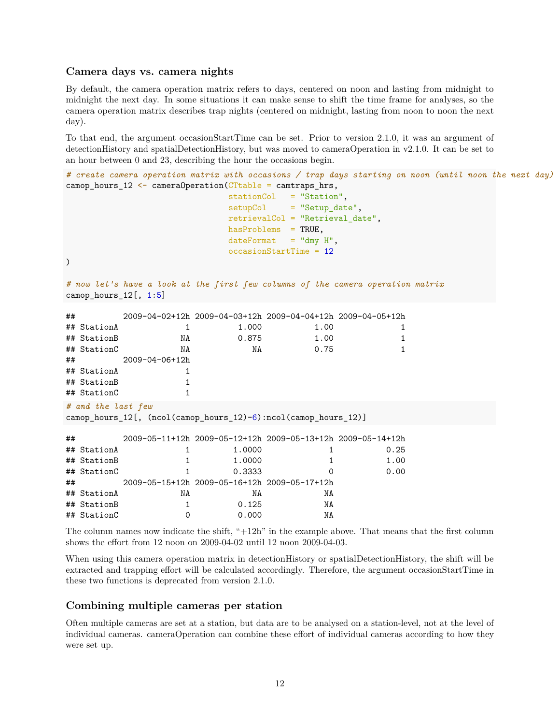### **Camera days vs. camera nights**

By default, the camera operation matrix refers to days, centered on noon and lasting from midnight to midnight the next day. In some situations it can make sense to shift the time frame for analyses, so the camera operation matrix describes trap nights (centered on midnight, lasting from noon to noon the next day).

To that end, the argument occasionStartTime can be set. Prior to version 2.1.0, it was an argument of detectionHistory and spatialDetectionHistory, but was moved to cameraOperation in v2.1.0. It can be set to an hour between 0 and 23, describing the hour the occasions begin.

```
# create camera operation matrix with occasions / trap days starting on noon (until noon the next day)
camop_hours_12 <- cameraOperation(CTtable = camtraps_hrs,
                       stationCol = "Station",
                       setupCol = "Setup_date",
                       retrievalCol = "Retrieval_date",
                       hasProblems = TRUE,
                       dateFormat = "dmy H",occasionStartTime = 12
)
# now let's have a look at the first few columns of the camera operation matrix
camop_hours_12[, 1:5]
## 2009-04-02+12h 2009-04-03+12h 2009-04-04+12h 2009-04-05+12h
## StationA 1 1.000 1.00 1
## StationB NA 0.875 1.00 1
## StationC NA NA 0.75 1
## 2009-04-06+12h
## StationA 1
## StationB 1
## StationC 1
# and the last few
camop_hours_12[, (ncol(camop_hours_12)-6):ncol(camop_hours_12)]
## 2009-05-11+12h 2009-05-12+12h 2009-05-13+12h 2009-05-14+12h
## StationA 1 1.0000 1 0.25
## StationB 1 1.0000 1 1.00
## StationC 1 0.3333 0 0.00
## 2009-05-15+12h 2009-05-16+12h 2009-05-17+12h
## StationA NA NA NA
## StationB 1 0.125 NA
## StationC 0 0.000 NA
```
The column names now indicate the shift, "+12h" in the example above. That means that the first column shows the effort from 12 noon on 2009-04-02 until 12 noon 2009-04-03.

When using this camera operation matrix in detectionHistory or spatialDetectionHistory, the shift will be extracted and trapping effort will be calculated accordingly. Therefore, the argument occasionStartTime in these two functions is deprecated from version 2.1.0.

## **Combining multiple cameras per station**

Often multiple cameras are set at a station, but data are to be analysed on a station-level, not at the level of individual cameras. cameraOperation can combine these effort of individual cameras according to how they were set up.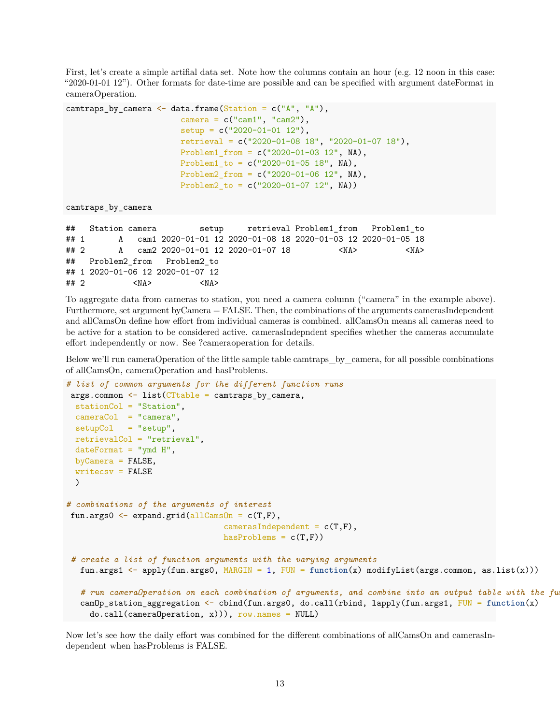First, let's create a simple artifial data set. Note how the columns contain an hour (e.g. 12 noon in this case: "2020-01-01 12"). Other formats for date-time are possible and can be specified with argument dateFormat in cameraOperation.

```
camtraps_by_camera \leq data.frame(Station = c("A", "A"),
                          \text{ camera} = \text{c}("\text{cam1", "cam2");}setup = c("2020-01-01 12"),
                          retrieval = c("2020-01-08 18", "2020-01-07 18"),
                          Problem1 from = c("2020-01-03 12", NA),
                          Problem1_to = c("2020-01-05 18", NA),
                          Problem2_from = c("2020-01-06 12", NA),
                          Problem2_to = c("2020-01-07 12", NA))
```

```
camtraps_by_camera
```

```
## Station camera setup retrieval Problem1_from Problem1_to
## 1 A cam1 2020-01-01 12 2020-01-08 18 2020-01-03 12 2020-01-05 18
## 2 A cam2 2020-01-01 12 2020-01-07 18 <NA> <NA>
## Problem2_from Problem2_to
## 1 2020-01-06 12 2020-01-07 12
## 2 <NA> <NA>
```
To aggregate data from cameras to station, you need a camera column ("camera" in the example above). Furthermore, set argument byCamera = FALSE. Then, the combinations of the arguments camerasIndependent and allCamsOn define how effort from individual cameras is combined. allCamsOn means all cameras need to be active for a station to be considered active. camerasIndepndent specifies whether the cameras accumulate effort independently or now. See ?cameraoperation for details.

Below we'll run cameraOperation of the little sample table camtraps\_by\_camera, for all possible combinations of allCamsOn, cameraOperation and hasProblems.

```
# list of common arguments for the different function runs
args.common < - list(CTable = camtraps_by.camera,stationCol = "Station",
 cameraCol = "camera",
 setupCol = "setup",retrievalCol = "retrieval",
 dateFormat = "ymd H",byCamera = FALSE,
 writecsv = FALSE
 )
# combinations of the arguments of interest
fun.args0 \leftarrow expand.grid(allCamsOn = c(T,F),
                                 camerasIndependent = c(T,F),
                                 hasProblems = c(T,F))# create a list of function arguments with the varying arguments
  fun.args1 <- apply(fun.args0, MARGIN = 1, FUN = function(x) modifyList(args.common, as.list(x)))
   # run cameraOperation on each combination of arguments, and combine into an output table with the fu
   camOp_station_aggregation <- cbind(fun.args0, do.call(rbind, lapply(fun.args1, FUN = function(x)
    do.call(cameraOperation, x))), row.names = NULL)
```
Now let's see how the daily effort was combined for the different combinations of allCamsOn and camerasIndependent when hasProblems is FALSE.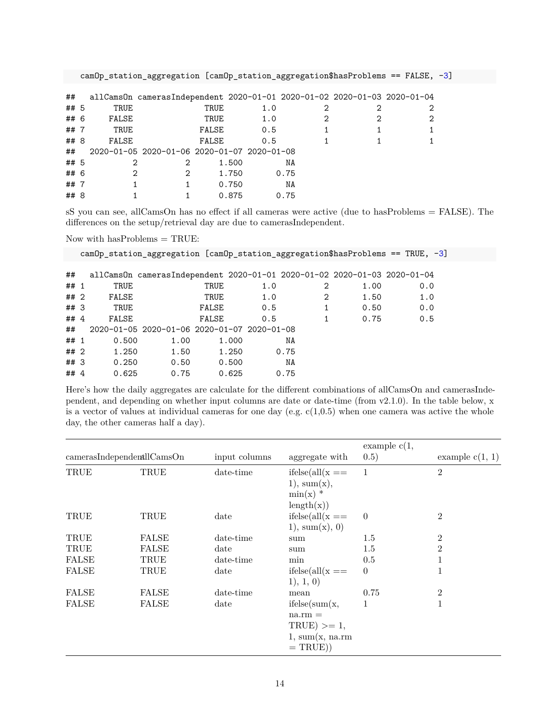| camOp_station_aggregation [camOp_station_aggregation\$hasProblems == FALSE, -3] |  |  |  |  |  |  |  |
|---------------------------------------------------------------------------------|--|--|--|--|--|--|--|
|---------------------------------------------------------------------------------|--|--|--|--|--|--|--|

| ##   |       | allCamsOn camerasIndependent 2020-01-01 2020-01-02 2020-01-03 2020-01-04 |       |       |     |      |  |                |
|------|-------|--------------------------------------------------------------------------|-------|-------|-----|------|--|----------------|
| ## 5 | TRUE  |                                                                          | TRUE  |       | 1.0 |      |  | 2              |
| ## 6 | FALSE |                                                                          | TRUE  |       | 1.0 |      |  | $\overline{2}$ |
| ##7  | TRUE  |                                                                          | FALSE |       | 0.5 |      |  | 1              |
| ## 8 | FALSE |                                                                          | FALSE |       | 0.5 |      |  |                |
| ##   |       | 2020-01-05 2020-01-06 2020-01-07 2020-01-08                              |       |       |     |      |  |                |
| ## 5 | 2     | 2                                                                        |       | 1.500 |     | ΝA   |  |                |
| ## 6 | 2     | 2                                                                        |       | 1.750 |     | 0.75 |  |                |
| ##7  |       |                                                                          |       | 0.750 |     | ΝA   |  |                |
| ## 8 |       |                                                                          |       | 0.875 |     | 0.75 |  |                |
|      |       |                                                                          |       |       |     |      |  |                |

sS you can see, allCamsOn has no effect if all cameras were active (due to hasProblems = FALSE). The differences on the setup/retrieval day are due to camerasIndependent.

Now with has<br>Problems  $=\mbox{\rm TRUE}\mbox{:}$ 

|        |       |                                                                          |       |     |      |      | $\text{camOp\_station\_aggregation}$ [camOp_station_aggregation\$hasProblems == TRUE, -3] |  |
|--------|-------|--------------------------------------------------------------------------|-------|-----|------|------|-------------------------------------------------------------------------------------------|--|
| ##     |       | allCamsOn camerasIndependent 2020-01-01 2020-01-02 2020-01-03 2020-01-04 |       |     |      |      |                                                                                           |  |
| ## 1   | TRUE  |                                                                          | TRUE  | 1.0 | 2    | 1.00 | 0.0                                                                                       |  |
| ## 2   | FALSE |                                                                          | TRUE  | 1.0 | 2    | 1.50 | 1.0                                                                                       |  |
| ##3    | TRUE  |                                                                          | FALSE | 0.5 | 1    | 0.50 | 0.0                                                                                       |  |
| ## $4$ | FALSE |                                                                          | FALSE | 0.5 | 1    | 0.75 | 0.5                                                                                       |  |
| ##     |       | 2020-01-05 2020-01-06 2020-01-07 2020-01-08                              |       |     |      |      |                                                                                           |  |
| ## 1   | 0.500 | 1.00                                                                     | 1.000 |     | ΝA   |      |                                                                                           |  |
| ##2    | 1.250 | 1.50                                                                     | 1.250 |     | 0.75 |      |                                                                                           |  |
| ##3    | 0.250 | 0.50                                                                     | 0.500 |     | NA   |      |                                                                                           |  |
| ## $4$ | 0.625 | 0.75                                                                     | 0.625 |     | 0.75 |      |                                                                                           |  |

Here's how the daily aggregates are calculate for the different combinations of allCamsOn and camerasIndependent, and depending on whether input columns are date or date-time (from v2.1.0). In the table below, x is a vector of values at individual cameras for one day (e.g.  $c(1,0.5)$ ) when one camera was active the whole day, the other cameras half a day).

| $cameras$ Independentll $Cams$ On |              | input columns | aggregate with                                                               | example $c(1,$<br>(0.5) | example $c(1, 1)$ |
|-----------------------------------|--------------|---------------|------------------------------------------------------------------------------|-------------------------|-------------------|
| TRUE                              | TRUE         | date-time     | $ifelse(all(x ==$<br>1), sum(x),<br>$\min(x)$ *<br>length(x))                | $\overline{1}$          | $\overline{2}$    |
| TRUE                              | TRUE         | date          | $ifelse(all(x ==$<br>1), sum(x), 0)                                          | $\overline{0}$          | $\overline{2}$    |
| TRUE                              | FALSE        | date-time     | sum                                                                          | 1.5                     | $\overline{2}$    |
| TRUE                              | <b>FALSE</b> | date          | sum                                                                          | 1.5                     | $\overline{2}$    |
| <b>FALSE</b>                      | TRUE         | date-time     | min                                                                          | 0.5                     | 1                 |
| <b>FALSE</b>                      | TRUE         | date          | $ifelse(all(x ==$<br>1), 1, 0)                                               | $\theta$                | 1                 |
| <b>FALSE</b>                      | <b>FALSE</b> | date-time     | mean                                                                         | 0.75                    | $\overline{2}$    |
| <b>FALSE</b>                      | <b>FALSE</b> | date          | ifelse(sum(x,<br>$na.rm =$<br>$TRUE$ >= 1,<br>1, sum(x, na.rm)<br>$= TRUE$ ) | 1                       | 1                 |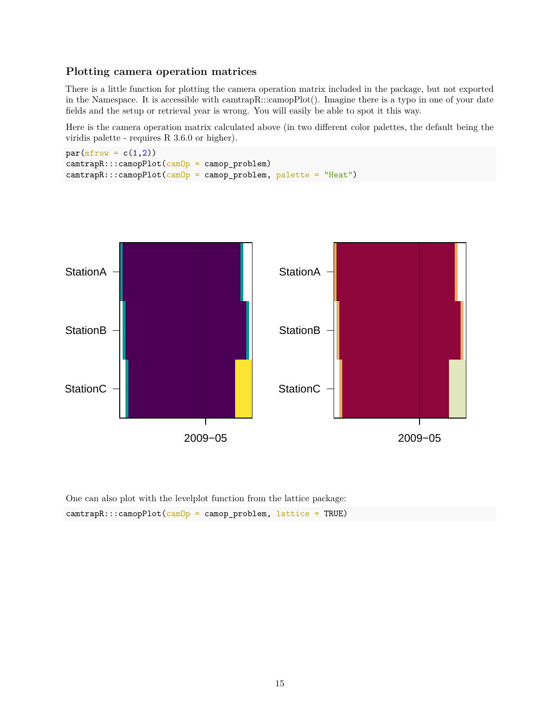## **Plotting camera operation matrices**

There is a little function for plotting the camera operation matrix included in the package, but not exported in the Namespace. It is accessible with camtrapR:::camopPlot(). Imagine there is a typo in one of your date fields and the setup or retrieval year is wrong. You will easily be able to spot it this way.

Here is the camera operation matrix calculated above (in two different color palettes, the default being the viridis palette - requires R 3.6.0 or higher).

```
par(mfrow = c(1,2))camtrapR:::camopPlot(camOp = camop_problem)
camtrapR:::camopPlot(camOp = camop_problem, palette = "Heat")
```


```
One can also plot with the levelplot function from the lattice package:
camtrapR:::camopPlot(camOp = camop_problem, lattice = TRUE)
```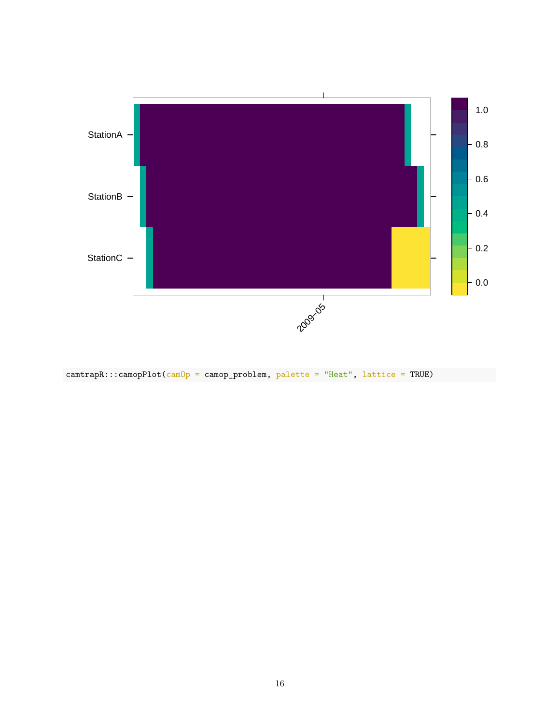

 $\text{camtrapR:::} \text{camopPlot}(\text{camOp} = \text{camop\_problem}, \text{ }\text{palette} = \text{``Heat''}, \text{ } \text{lattice} = \text{TRUE})$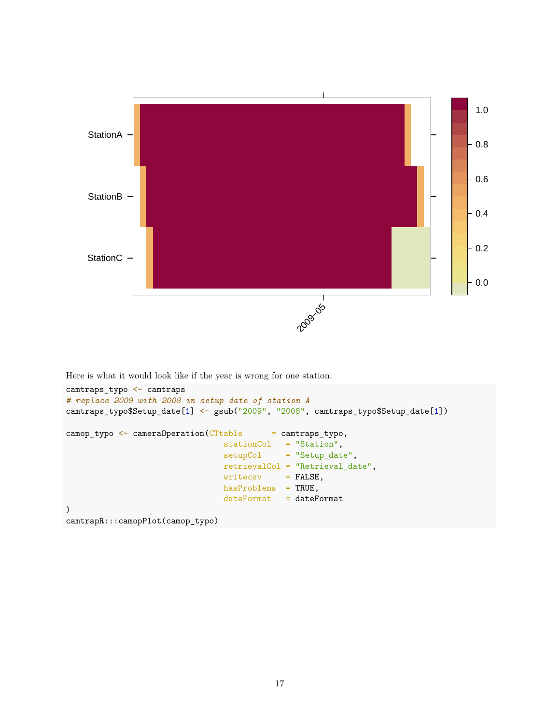

Here is what it would look like if the year is wrong for one station.

```
camtraps_typo <- camtraps
# replace 2009 with 2008 in setup date of station A
camtraps_typo$Setup_date[1] <- gsub("2009", "2008", camtraps_typo$Setup_date[1])
\texttt{camp\_type} \leq \texttt{camenOperation}(\texttt{CTable} = \texttt{camtraps\_type},stationCol = "Station",
                                   setupCol = "Setup_date",
                                  retrievalCol = "Retrieval_date",
                                  writecsv = FALSE,hasProblems = TRUE,
                                  dateFormat = dateFormat)
camtrapR:::camopPlot(camop_typo)
```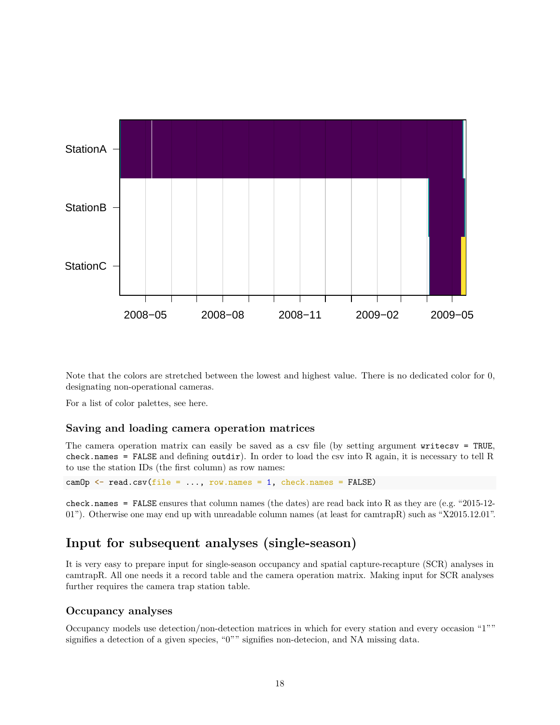

Note that the colors are stretched between the lowest and highest value. There is no dedicated color for 0, designating non-operational cameras.

For a list of color palettes, see [here.](https://developer.r-project.org/Blog/public/2019/04/01/hcl-based-color-palettes-in-grdevices/index.html)

## **Saving and loading camera operation matrices**

The camera operation matrix can easily be saved as a csv file (by setting argument writecsv = TRUE, check.names = FALSE and defining outdir). In order to load the csv into R again, it is necessary to tell R to use the station IDs (the first column) as row names:

```
camOp \leq read.csv(file = ..., row.names = 1, check.names = FALSE)
```
check.names = FALSE ensures that column names (the dates) are read back into R as they are (e.g. "2015-12- 01"). Otherwise one may end up with unreadable column names (at least for camtrapR) such as "X2015.12.01".

## **Input for subsequent analyses (single-season)**

It is very easy to prepare input for single-season occupancy and spatial capture-recapture (SCR) analyses in camtrapR. All one needs it a record table and the camera operation matrix. Making input for SCR analyses further requires the camera trap station table.

## **Occupancy analyses**

Occupancy models use detection/non-detection matrices in which for every station and every occasion "1"" signifies a detection of a given species, "0"" signifies non-detecion, and NA missing data.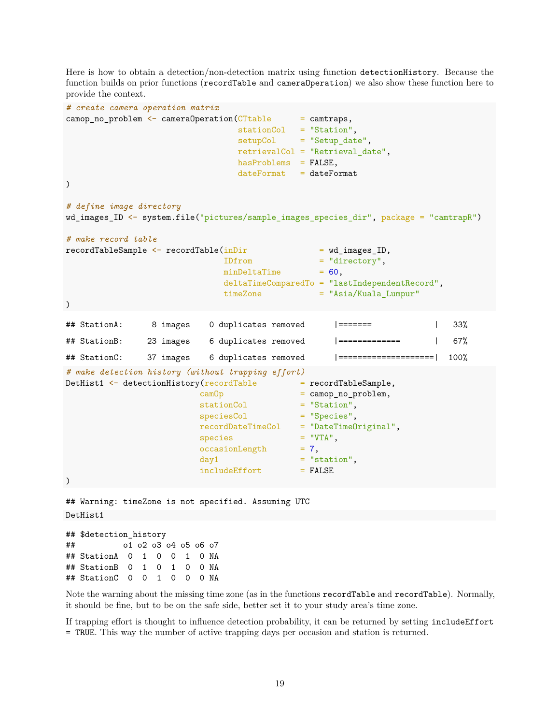Here is how to obtain a detection/non-detection matrix using function detectionHistory. Because the function builds on prior functions (recordTable and cameraOperation) we also show these function here to provide the context.

```
# create camera operation matrix
camop no problem \leq cameraOperation(CTtable = camtraps,
                               stationCol = "Station",
                               setupCol = "Setup_date",
                               retrievalCol = "Retrieval_date",
                               hasProblems = FALSE,
                               dateFormat = dateFormat)
# define image directory
wd_images_ID <- system.file("pictures/sample_images_species_dir", package = "camtrapR")
# make record table
recordTableSample <- recordTable(inDir = wd_images_ID,
                            IDfrom = "directory",
                            minDeltaTime = 60,
                            deltaTimeComparedTo = "lastIndependentRecord",
                            timeZone = "Asia/Kuala Lumpur"
\lambda## StationA: 8 images 0 duplicates removed |======= | 33%
## StationB: 23 images 6 duplicates removed |============= | 67%
## StationC: 37 images 6 duplicates removed |====================| 100%
# make detection history (without trapping effort)
DetHist1 \leftarrow detectionHistory(\text{recordTable} = recordTableSample,
                        camOp = camop_no_problem,
                        stationCol = "Station",
                        speciesCol = "Species",
                        recordDateTimeCol = "DateTimeOriginal",
                        species = "VTA",
                        occasionLength = 7,day1 = "station",includeEffort = FALSE
)
## Warning: timeZone is not specified. Assuming UTC
DetHist1
```
## \$detection\_history ## o1 o2 o3 o4 o5 o6 o7 ## StationA 0 1 0 0 1 0 NA ## StationB 0 1 0 1 0 0 NA ## StationC 0 0 1 0 0 0 NA

Note the warning about the missing time zone (as in the functions recordTable and recordTable). Normally, it should be fine, but to be on the safe side, better set it to your study area's time zone.

If trapping effort is thought to influence detection probability, it can be returned by setting includeEffort = TRUE. This way the number of active trapping days per occasion and station is returned.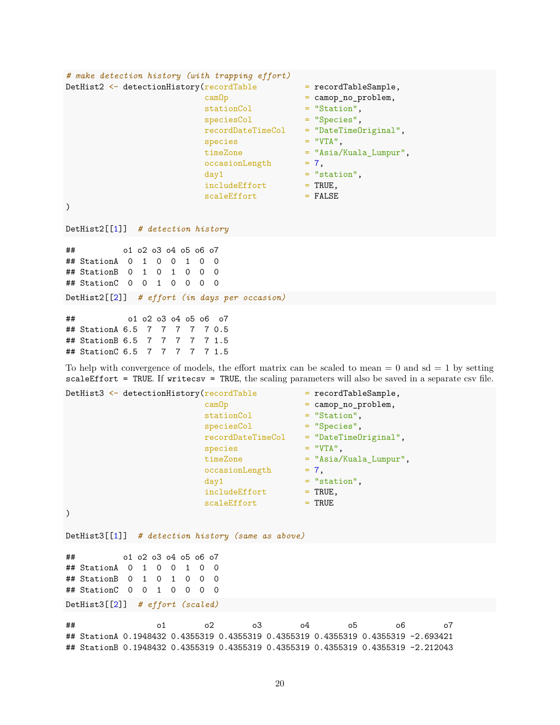```
# make detection history (with trapping effort)
DetHist2 \leftarrow detectionHistory(recordTable = recordTableSample,<br>camOp = camop no problem.
                                           = camop_no_problem,
                         stationCol = "Station",
                         speciesCol = "Species",
                         recordDateTimeCol = "DateTimeOriginal",
                         species = "VTA",timeZone = "Asia/Kuala Lumpur",
                         occasionLength = 7,day1 = "station",includeEffort = TRUE,
                         scaleEffort = FALSE\mathcal{L}DetHist2[[1]] # detection history
## o1 o2 o3 o4 o5 o6 o7
## StationA 0 1 0 0 1 0 0
## StationB 0 1 0 1 0 0 0
## StationC 0 0 1 0 0 0 0
DetHist2[[2]] # effort (in days per occasion)
## o1 o2 o3 o4 o5 o6 o7
## StationA 6.5 7 7 7 7 7 0.5
## StationB 6.5 7 7 7 7 7 1.5
## StationC 6.5 7 7 7 7 7 1.5
To help with convergence of models, the effort matrix can be scaled to mean = 0 and sd = 1 by setting
```
 $scaleEffort = TRUE$ . If writecsv = TRUE, the scaling parameters will also be saved in a separate csv file.

```
DetHist3 \leftarrow detectionHistory(recordTable = recordTableSample,
                      camOp = camop_no_problem,
                      stationCol = "Station",
                      speciesCol = "Species",
                      recordDateTimeCol = "DateTimeOriginal",
                      species = "VTA",
                      timeZone = "Asia/Kuala Lumpur",
                      occasionLength = 7,day1 = "station",includeEffort = TRUE,
                      scaleEffort = TRUE
)
DetHist3[[1]] # detection history (same as above)
## o1 o2 o3 o4 o5 o6 o7
## StationA 0 1 0 0 1 0 0
## StationB 0 1 0 1 0 0 0
## StationC 0 0 1 0 0 0 0
DetHist3[[2]] # effort (scaled)
## o1 o2 o3 o4 o5 o6 o7
## StationA 0.1948432 0.4355319 0.4355319 0.4355319 0.4355319 0.4355319 -2.693421
```
## StationB 0.1948432 0.4355319 0.4355319 0.4355319 0.4355319 0.4355319 -2.212043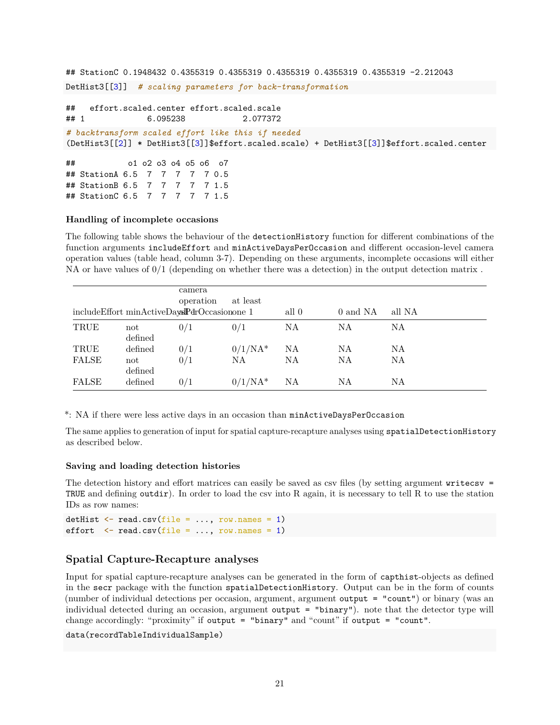```
## StationC 0.1948432 0.4355319 0.4355319 0.4355319 0.4355319 0.4355319 -2.212043
DetHist3[[3]] # scaling parameters for back-transformation
## effort.scaled.center effort.scaled.scale
## 1 6.095238 2.077372
# backtransform scaled effort like this if needed
(DetHist3[[2]] * DetHist3[[3]]$effort.scaled.scale) + DetHist3[[3]]$effort.scaled.center
## o1 o2 o3 o4 o5 o6 o7
## StationA 6.5 7 7 7 7 7 0.5
## StationB 6.5 7 7 7 7 7 1.5
## StationC 6.5 7 7 7 7 7 1.5
```
#### **Handling of incomplete occasions**

The following table shows the behaviour of the detectionHistory function for different combinations of the function arguments includeEffort and minActiveDaysPerOccasion and different occasion-level camera operation values (table head, column 3-7). Depending on these arguments, incomplete occasions will either NA or have values of  $0/1$  (depending on whether there was a detection) in the output detection matrix.

|              | includeEffort minActiveDaysPdrOccasionone 1 | camera<br>operation | at least   | all 0 | 0 and NA | all NA |
|--------------|---------------------------------------------|---------------------|------------|-------|----------|--------|
| TRUE         | not<br>defined                              | 0/1                 | 0/1        | ΝA    | NA       | NA     |
| TRUE         | defined                                     | 0/1                 | $0/1/NA^*$ | NA    | NA       | ΝA     |
| <b>FALSE</b> | not<br>defined                              | 0/1                 | NA.        | ΝA    | NA       | NA     |
| FALSE        | defined                                     | 0/1                 | $0/1/NA^*$ | NA    | NA       | ΝA     |

\*: NA if there were less active days in an occasion than minActiveDaysPerOccasion

The same applies to generation of input for spatial capture-recapture analyses using spatialDetectionHistory as described below.

#### **Saving and loading detection histories**

The detection history and effort matrices can easily be saved as csv files (by setting argument writecsv = TRUE and defining outdir). In order to load the csv into R again, it is necessary to tell R to use the station IDs as row names:

```
detHist \leq read.csv(file = ..., row.names = 1)
effort \leq read.csv(file = ..., row.names = 1)
```
### **Spatial Capture-Recapture analyses**

Input for spatial capture-recapture analyses can be generated in the form of capthist-objects as defined in the secr package with the function spatialDetectionHistory. Output can be in the form of counts (number of individual detections per occasion, argument, argument output = "count") or binary (was an individual detected during an occasion, argument output = "binary"). note that the detector type will change accordingly: "proximity" if output = "binary" and "count" if output = "count".

data(recordTableIndividualSample)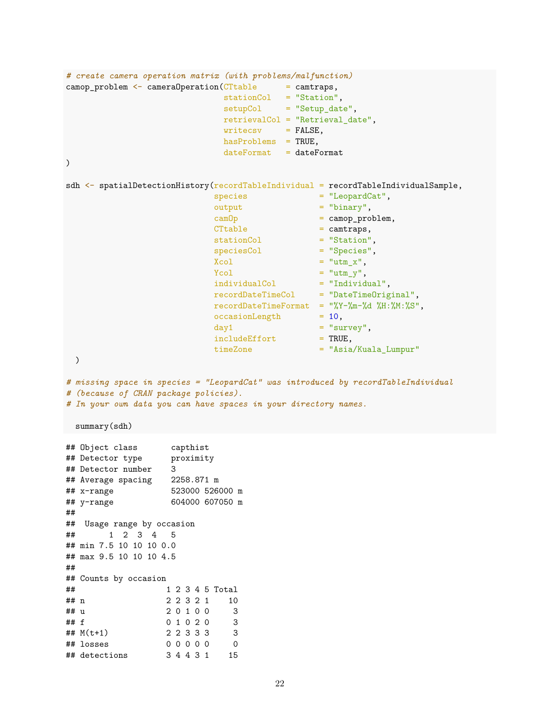```
# create camera operation matrix (with problems/malfunction)
camp\_problem \leq -camenOpen(CTable = camtraps,stationCol = "Station",
                             setupCol = "Setup date",retrievalCol = "Retrieval_date",
                             writecsv = FALSE,hasProblems = TRUE,
                             dateFormat = dateFormat\mathcal{L}sdh <- spatialDetectionHistory(recordTableIndividual = recordTableIndividualSample,
                            species = "LeopardCat",
                            output = "binary",
                           \text{cambp} = camop_problem,<br>CTtable = camtraps,
                                             = camtraps,
                           stationCol = "Station",<br>speciesCol = "Species",
                            speciesCol = "Species",
                            Xcol = "utm_x",
                            Ycol = "utm_y",indivialCol = "Individual",
                            recordDateTimeCol = "DateTimeOriginal",
                           recordDateTimeFormat = "\%Y-\%m-\%d %H:\%M:\%S",occasionLength = 10,\begin{array}{lll} \texttt{day1} & = & \texttt{``survey''}, \\ \texttt{includeEffect} & = & \texttt{TRUE}, \end{array}includeEffort
                           timeZone = "Asia/Kuala_Lumpur"
 )
# missing space in species = "LeopardCat" was introduced by recordTableIndividual
# (because of CRAN package policies).
# In your own data you can have spaces in your directory names.
summary(sdh)
## Object class capthist
## Detector type proximity
## Detector number 3
## Average spacing 2258.871 m
## x-range 523000 526000 m
## y-range 604000 607050 m
##
## Usage range by occasion
## 1 2 3 4 5
## min 7.5 10 10 10 0.0
## max 9.5 10 10 10 4.5
##
## Counts by occasion
## 1 2 3 4 5 Total
## n 2 2 3 2 1 10
## u 2 0 1 0 0 3
## f 0 1 0 2 0 3
## M(t+1) 2 2 3 3 3 3
## losses 0 0 0 0 0 0
## detections 3 4 4 3 1 15
```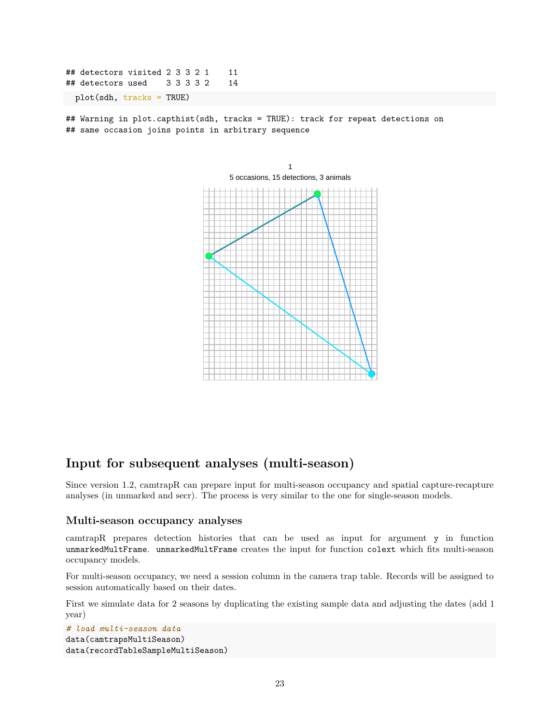## detectors visited 2 3 3 2 1 11 ## detectors used 3 3 3 3 2 14 plot(sdh, tracks = TRUE)

## Warning in plot.capthist(sdh, tracks = TRUE): track for repeat detections on ## same occasion joins points in arbitrary sequence



## **Input for subsequent analyses (multi-season)**

Since version 1.2, camtrapR can prepare input for multi-season occupancy and spatial capture-recapture analyses (in unmarked and secr). The process is very similar to the one for single-season models.

### **Multi-season occupancy analyses**

camtrapR prepares detection histories that can be used as input for argument y in function unmarkedMultFrame. unmarkedMultFrame creates the input for function colext which fits multi-season occupancy models.

For multi-season occupancy, we need a session column in the camera trap table. Records will be assigned to session automatically based on their dates.

First we simulate data for 2 seasons by duplicating the existing sample data and adjusting the dates (add 1 year)

```
# load multi-season data
data(camtrapsMultiSeason)
data(recordTableSampleMultiSeason)
```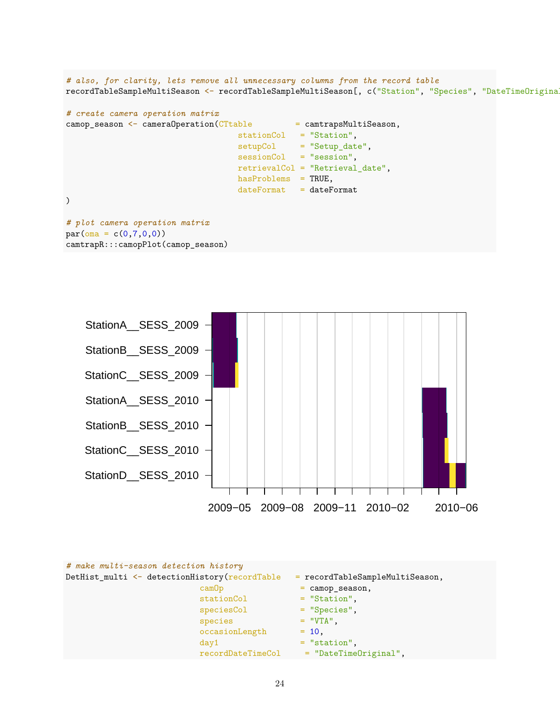*# also, for clarity, lets remove all unnecessary columns from the record table* recordTableSampleMultiSeason <- recordTableSampleMultiSeason[, c("Station", "Species", "DateTimeOriginal")]

```
# create camera operation matrix
camop_season <- cameraOperation(CTtable = camtrapsMultiSeason,
                                   stationCol = "Station",
                                   setupCol = "Setup_date",
                                   sessionCol = "session",
                                   retrievalCol = "Retrieval_date",
                                   hasProblems = TRUE,
                                   dateFormat = dateFormat)
# plot camera operation matrix
par(\text{oma} = c(0,7,0,0))camtrapR:::camopPlot(camop_season)
```


| # make multi-season detection history         |                                   |
|-----------------------------------------------|-----------------------------------|
| DetHist_multi <- detectionHistory(recordTable | $=$ recordTableSampleMultiSeason, |
| camOp                                         | $=$ camop_season,                 |
| stationCol                                    | $=$ "Station",                    |
| speciesCol                                    | $=$ "Species",                    |
| species                                       | $=$ "VTA",                        |
| occasionLength                                | $= 10$ ,                          |
| day1                                          | $=$ "station".                    |
| recordDateTimeCol                             | = "DateTimeOriginal",             |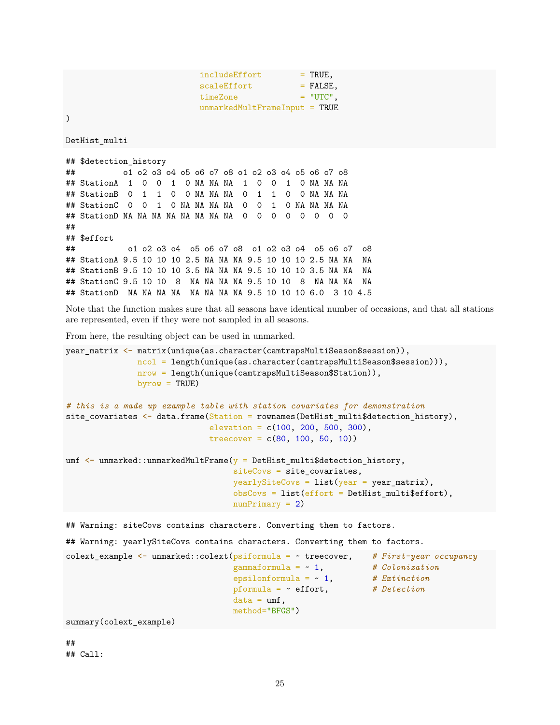$include **Effect** = **TRUE**$ , scaleEffort = FALSE,  $timeZone$  =  $"UTC"$ , unmarkedMultFrameInput = TRUE

)

DetHist\_multi

```
## $detection_history
## o1 o2 o3 o4 o5 o6 o7 o8 o1 o2 o3 o4 o5 o6 o7 o8
## StationA 1 0 0 1 0 NA NA NA 1 0 0 1 0 NA NA NA
## StationB 0 1 1 0 0 NA NA NA 0 1 1 0 0 NA NA NA
## StationC 0 0 1 0 NA NA NA NA 0 0 1 0 NA NA NA NA
## StationD NA NA NA NA NA NA NA NA 0 0 0 0 0 0 0 0
##
## $effort
## o1 o2 o3 o4 o5 o6 o7 o8 o1 o2 o3 o4 o5 o6 o7 o8
## StationA 9.5 10 10 10 2.5 NA NA NA 9.5 10 10 10 2.5 NA NA NA
## StationB 9.5 10 10 10 3.5 NA NA NA 9.5 10 10 10 3.5 NA NA NA
## StationC 9.5 10 10 8 NA NA NA NA 9.5 10 10 8 NA NA NA NA
## StationD NA NA NA NA NA NA NA NA 9.5 10 10 10 6.0 3 10 4.5
```
Note that the function makes sure that all seasons have identical number of occasions, and that all stations are represented, even if they were not sampled in all seasons.

From here, the resulting object can be used in unmarked.

```
year_matrix <- matrix(unique(as.character(camtrapsMultiSeason$session)),
              ncol = length(unique(as.character(camtrapsMultiSeason$session))),
              nrow = length(unique(camtrapsMultiSeason$Station)),
              byrow = TRUE)
# this is a made up example table with station covariates for demonstration
site_covariates <- data.frame(Station = rownames(DetHist_multi$detection_history),
                            elevation = c(100, 200, 500, 300),
                            treecover = c(80, 100, 50, 10)umf \leq unmarked::unmarkedMultFrame(y = DetHist_multi$detection_history,
                                 siteCovs = site_covariates,
                                 years = list(year = year_matrix),
                                 obsCovs = list(effort = DetHist\_multi\numPrimary = 2)## Warning: siteCovs contains characters. Converting them to factors.
## Warning: yearlySiteCovs contains characters. Converting them to factors.
colext_example <- unmarked::colext(psiformula = ~ treecover, # First-year occupancy
                                 gammaformula = ~ 1, # Colonization
                                 epsilonformula = ~ 1, # Extinction
                                 pformula = ~ effort, # Detection
                                 data = umf,
```
##

summary(colext\_example)

## Call:

method="BFGS")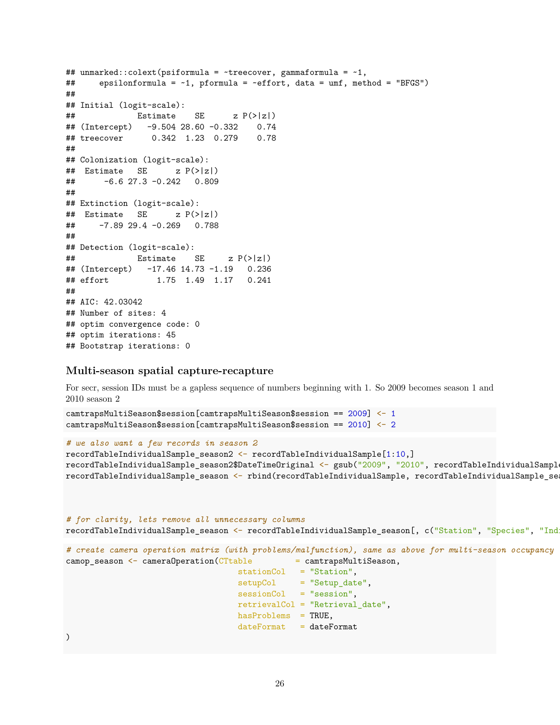```
## unmarked::colext(psiformula = \tt-treecover, gammaformula = \tt1,
## epsilonformula = ~1, pformula = ~effort, data = umf, method = "BFGS")
##
## Initial (logit-scale):
\# Estimate SE z P(>|z|)## (Intercept) -9.504 28.60 -0.332 0.74
## treecover 0.342 1.23 0.279 0.78
##
## Colonization (logit-scale):
## Estimate SE z P(>|z|)
## -6.6 27.3 -0.242 0.809
##
## Extinction (logit-scale):
## Estimate SE z P(>|z|)
## -7.89 29.4 -0.269 0.788
##
## Detection (logit-scale):
\# Estimate SE z P(>|z|)## (Intercept) -17.46 14.73 -1.19 0.236
## effort 1.75 1.49 1.17 0.241
##
## AIC: 42.03042
## Number of sites: 4
## optim convergence code: 0
## optim iterations: 45
## Bootstrap iterations: 0
```
### **Multi-season spatial capture-recapture**

For secr, session IDs must be a gapless sequence of numbers beginning with 1. So 2009 becomes season 1 and 2010 season 2

```
camtrapsMultiSeason$session[camtrapsMultiSeason$session == 2009] <- 1
camtrapsMultiSeason$session[camtrapsMultiSeason$session == 2010] <- 2
```
#### *# we also want a few records in season 2*

```
recordTableIndividualSample_season2 <- recordTableIndividualSample[1:10,]
recordTableIndividualSample_season2$DateTimeOriginal <- gsub("2009", "2010", recordTableIndividualSampl
recordTableIndividualSample_season <- rbind(recordTableIndividualSample, recordTableIndividualSample_season2)
```
*# for clarity, lets remove all unnecessary columns* recordTableIndividualSample\_season <- recordTableIndividualSample\_season[, c("Station", "Species", "Ind

```
# create camera operation matrix (with problems/malfunction), same as above for multi-season occupancy
camop_season <- cameraOperation(CTtable = camtrapsMultiSeason,
                                  stationCol = "Station",
                                  setupCol = "Setup date",sessionCol = "session",
                                  retrievalCol = "Retrieval_date",
                                  hasProblems = TRUE,
                                  dateFormat = dateFormat
```
)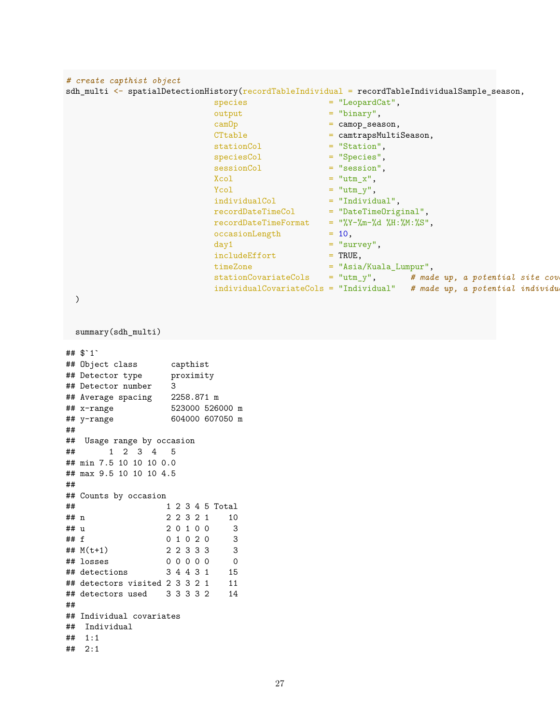```
# create capthist object
sdh_multi <- spatialDetectionHistory(recordTableIndividual = recordTableIndividualSample_season,
                          species = "LeopardCat",
                          output = "binary",
                          camOp = camop_season,
                          CTtable = camtrapsMultiSeason,
                          stationCol = "Station",
                          speciesCol = "Species",
                          sessionCol = "session",
                          Xcol = "utm_x",
                         Ycol = "utm_y",indivialCol = "Individual",<br>recordDateTimeCol = "DateTimeOriginal",recordDateTimeColrecordDateTimeFormat = "\U - "\U - "\M - "\M - "\M - "\M : "\M : "\N",occasionLength = 10,
                         day1 = "survey",<br>includeEffort = TRUE,
                         includeEffort
                         timeZone = "Asia/Kuala_Lumpur",
                         stationCovariateCols = "utm_y", # made up, a potential site cov
                         individualCovariateCols = "Individual" # made up, a potential individu
 )
 summary(sdh_multi)
## $`1`
## Object class capthist
## Detector type proximity
## Detector number 3
## Average spacing 2258.871 m
## x-range 523000 526000 m
## y-range 604000 607050 m
##
## Usage range by occasion
## 1 2 3 4 5
## min 7.5 10 10 10 0.0
## max 9.5 10 10 10 4.5
##
## Counts by occasion
## 1 2 3 4 5 Total
## n 2 2 3 2 1 10
## u 2 0 1 0 0 3
## f 0 1 0 2 0 3<br>## M(t+1) 2 2 3 3 3 3 3## M(t+1) 2 2 3 3 3 3
## losses 0 0 0 0 0 0
## detections 3 4 4 3 1 15
## detectors visited 2 3 3 2 1 11
## detectors used 3 3 3 3 2 14
##
## Individual covariates
## Individual
## 1:1
```

```
## 2:1
```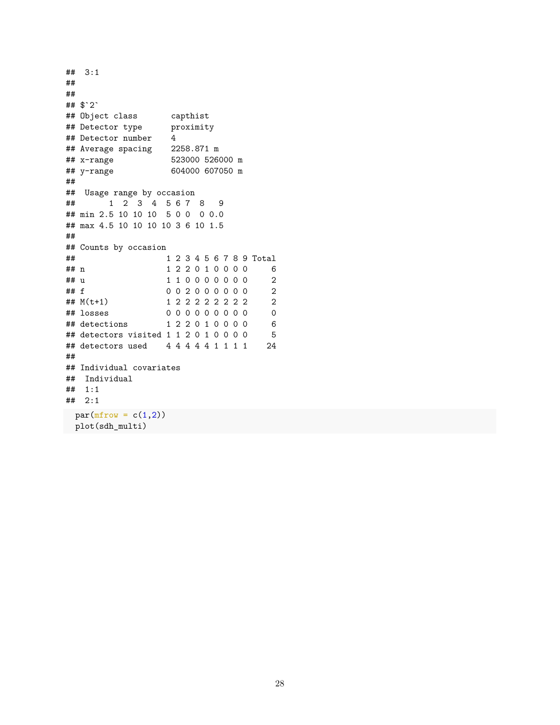```
## 3:1
##
##
## $`2`
## Object class capthist
## Detector type proximity
## Detector number 4
## Average spacing 2258.871 m
## x-range 523000 526000 m
## y-range 604000 607050 m
##
## Usage range by occasion
## 1 2 3 4 5 6 7 8 9
## min 2.5 10 10 10 5 0 0 0 0.0
## max 4.5 10 10 10 10 3 6 10 1.5
##
## Counts by occasion
## 1 2 3 4 5 6 7 8 9 Total
## n 1 2 2 0 1 0 0 0 0 6
## u 1 1 0 0 0 0 0 0 0 2
## f 0 0 2 0 0 0 0 0 0 0 2
## M(t+1) 1 2 2 2 2 2 2 2 2 2
## losses 0 0 0 0 0 0 0 0 0 0
## detections 1 2 2 0 1 0 0 0 0 6
## detectors visited 1 1 2 0 1 0 0 0 0 5
## detectors used 4 4 4 4 4 1 1 1 1 24
##
## Individual covariates
## Individual
## 1:1
## 2:1
par(mfrow = c(1,2))plot(sdh_multi)
```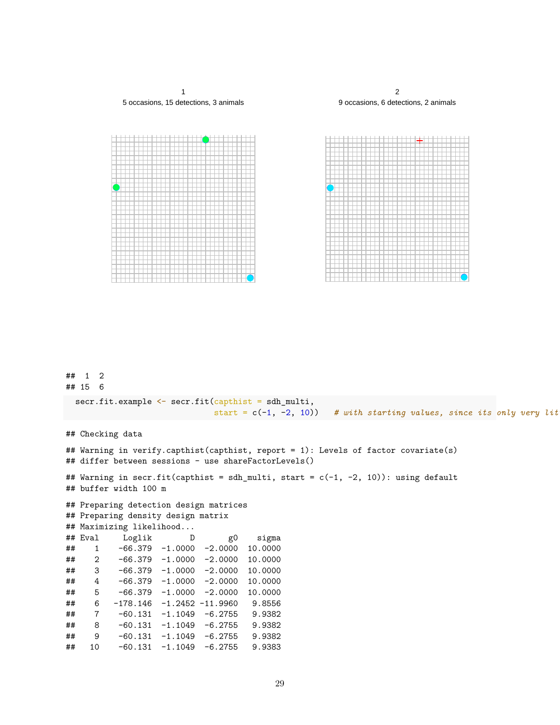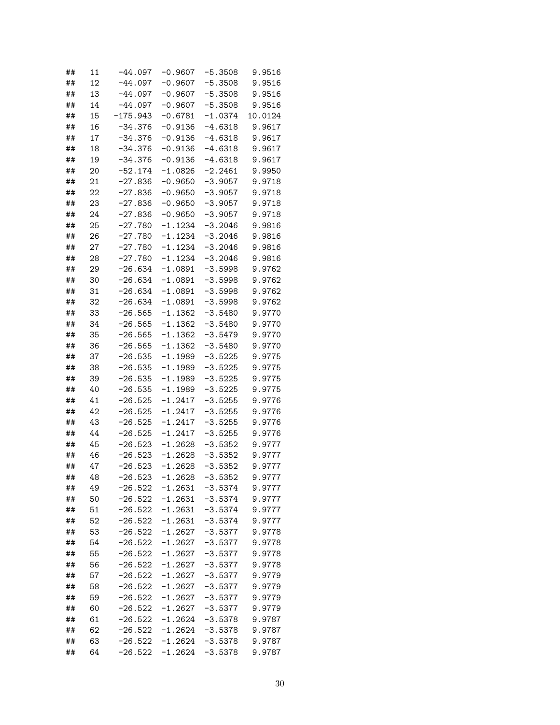| ##       | 11 | $-44.097$  | $-0.9607$              | $-5.3508$ | 9.9516           |
|----------|----|------------|------------------------|-----------|------------------|
| ##       | 12 | $-44.097$  | $-0.9607$              | $-5.3508$ | 9.9516           |
| ##       | 13 | $-44.097$  | $-0.9607$              | $-5.3508$ | 9.9516           |
| ##       | 14 | $-44.097$  | $-0.9607$              | $-5.3508$ | 9.9516           |
| ##       | 15 | $-175.943$ | $-0.6781$              | $-1.0374$ | 10.0124          |
| ##       | 16 | $-34.376$  | $-0.9136$              | $-4.6318$ | 9.9617           |
| ##       | 17 | $-34.376$  | $-0.9136$              | $-4.6318$ | 9.9617           |
| ##       | 18 | $-34.376$  | $-0.9136$              | $-4.6318$ | 9.9617           |
| ##       | 19 | $-34.376$  | $-0.9136$              | $-4.6318$ | 9.9617           |
| ##       | 20 | $-52.174$  | $-1.0826$              | $-2.2461$ | 9.9950           |
| ##       | 21 | $-27.836$  | $-0.9650$              | $-3.9057$ | 9.9718           |
| ##       | 22 | $-27.836$  | $-0.9650$              | $-3.9057$ | 9.9718           |
| ##       | 23 | $-27.836$  | $-0.9650$              | $-3.9057$ | 9.9718           |
| ##       | 24 | $-27.836$  | $-0.9650$              | $-3.9057$ | 9.9718           |
| ##       | 25 | $-27.780$  | $-1.1234$              | $-3.2046$ | 9.9816           |
| ##       | 26 | $-27.780$  | $-1.1234$              | $-3.2046$ | 9.9816           |
| ##       | 27 | $-27.780$  | $-1.1234$              | $-3.2046$ | 9.9816           |
| ##       | 28 | $-27.780$  | $-1.1234$              | $-3.2046$ | 9.9816           |
| ##       | 29 | $-26.634$  | $-1.0891$              | $-3.5998$ | 9.9762           |
| ##       | 30 | $-26.634$  | $-1.0891$              | $-3.5998$ | 9.9762           |
| ##       | 31 | $-26.634$  | $-1.0891$              | $-3.5998$ | 9.9762           |
| ##       | 32 | $-26.634$  | $-1.0891$              | $-3.5998$ | 9.9762           |
| ##       | 33 | $-26.565$  | $-1.1362$              | $-3.5480$ | 9.9770           |
| ##       | 34 | $-26.565$  | $-1.1362$              | $-3.5480$ | 9.9770           |
| ##       | 35 | -26.565    | $-1.1362$              | -3.5479   | 9.9770           |
| ##       | 36 | $-26.565$  | $-1.1362$              | $-3.5480$ | 9.9770           |
| ##       | 37 | $-26.535$  | $-1.1989$              | $-3.5225$ | 9.9775           |
| ##       | 38 | $-26.535$  | $-1.1989$              | $-3.5225$ | 9.9775           |
| ##       | 39 | $-26.535$  | $-1.1989$              | $-3.5225$ | 9.9775           |
|          | 40 |            |                        |           |                  |
| ##       | 41 | $-26.535$  | $-1.1989$              | $-3.5225$ | 9.9775           |
| ##       | 42 | $-26.525$  | $-1.2417$              | $-3.5255$ | 9.9776           |
| ##       | 43 | $-26.525$  | $-1.2417$              | $-3.5255$ | 9.9776           |
| ##<br>## | 44 | $-26.525$  | $-1.2417$<br>$-1.2417$ | $-3.5255$ | 9.9776           |
| ##       | 45 | $-26.525$  | $-1.2628$              | $-3.5255$ | 9.9776           |
|          |    | $-26.523$  |                        | $-3.5352$ | 9.9777<br>9.9777 |
| ##       | 46 | $-26.523$  | $-1.2628$              | $-3.5352$ |                  |
| ##       | 47 | $-26.523$  | $-1.2628$<br>$-1.2628$ | $-3.5352$ | 9.9777           |
| ##       | 48 | $-26.523$  |                        | $-3.5352$ | 9.9777           |
| ##       | 49 | -26.522    | $-1.2631$              | $-3.5374$ | 9.9777           |
| ##       | 50 | $-26.522$  | $-1.2631$              | $-3.5374$ | 9.9777           |
| ##       | 51 | $-26.522$  | $-1.2631$              | $-3.5374$ | 9.9777           |
| ##       | 52 | $-26.522$  | $-1.2631$              | $-3.5374$ | 9.9777           |
| ##       | 53 | $-26.522$  | $-1.2627$              | $-3.5377$ | 9.9778           |
| ##       | 54 | $-26.522$  | $-1.2627$              | $-3.5377$ | 9.9778           |
| ##       | 55 | $-26.522$  | $-1.2627$              | $-3.5377$ | 9.9778           |
| ##       | 56 | $-26.522$  | $-1.2627$              | $-3.5377$ | 9.9778           |
| ##       | 57 | $-26.522$  | $-1.2627$              | $-3.5377$ | 9.9779           |
| ##       | 58 | $-26.522$  | $-1.2627$              | $-3.5377$ | 9.9779           |
| ##       | 59 | $-26.522$  | $-1.2627$              | $-3.5377$ | 9.9779           |
| ##       | 60 | $-26.522$  | $-1.2627$              | $-3.5377$ | 9.9779           |
| ##       | 61 | $-26.522$  | $-1.2624$              | $-3.5378$ | 9.9787           |
| ##       | 62 | $-26.522$  | $-1.2624$              | -3.5378   | 9.9787           |
| ##       | 63 | $-26.522$  | -1.2624                | $-3.5378$ | 9.9787           |
| ##       | 64 | $-26.522$  | $-1.2624$              | $-3.5378$ | 9.9787           |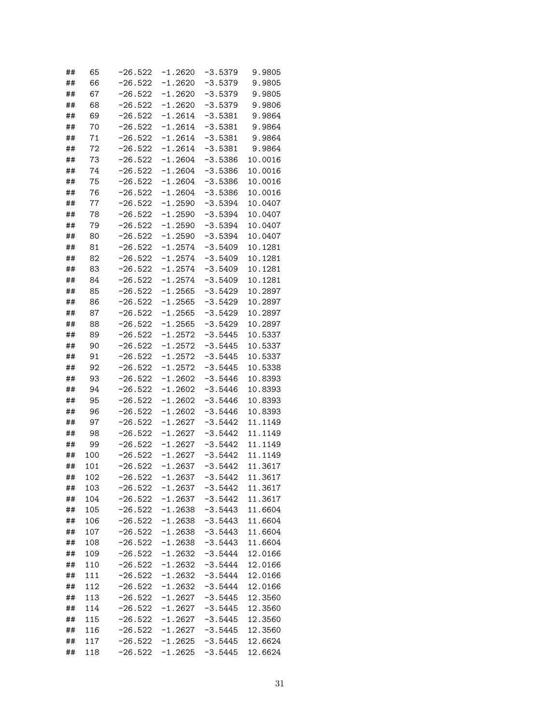| ## | 65  | $-26.522$ | $-1.2620$ | $-3.5379$ | 9.9805  |
|----|-----|-----------|-----------|-----------|---------|
| ## | 66  | $-26.522$ | $-1.2620$ | $-3.5379$ | 9.9805  |
| ## | 67  | $-26.522$ | $-1.2620$ | $-3.5379$ | 9.9805  |
| ## | 68  | -26.522   | $-1.2620$ | $-3.5379$ | 9.9806  |
| ## | 69  | -26.522   | -1.2614   | $-3.5381$ | 9.9864  |
| ## | 70  | -26.522   | -1.2614   | $-3.5381$ | 9.9864  |
| ## | 71  | -26.522   | -1.2614   | $-3.5381$ | 9.9864  |
| ## | 72  | -26.522   | -1.2614   | -3.5381   | 9.9864  |
| ## | 73  | -26.522   | $-1.2604$ | -3.5386   | 10.0016 |
| ## | 74  | $-26.522$ | -1.2604   | $-3.5386$ | 10.0016 |
| ## | 75  | $-26.522$ | $-1.2604$ | -3.5386   | 10.0016 |
| ## | 76  | $-26.522$ | $-1.2604$ | -3.5386   | 10.0016 |
| ## | 77  | $-26.522$ | $-1.2590$ | -3.5394   | 10.0407 |
| ## | 78  | $-26.522$ | $-1.2590$ | -3.5394   | 10.0407 |
| ## | 79  | $-26.522$ | $-1.2590$ | -3.5394   | 10.0407 |
| ## | 80  | $-26.522$ | $-1.2590$ | -3.5394   | 10.0407 |
| ## | 81  | $-26.522$ | $-1.2574$ | $-3.5409$ | 10.1281 |
| ## | 82  | -26.522   | $-1.2574$ | $-3.5409$ | 10.1281 |
| ## | 83  | $-26.522$ | $-1.2574$ | $-3.5409$ | 10.1281 |
| ## | 84  | $-26.522$ | $-1.2574$ | $-3.5409$ | 10.1281 |
| ## | 85  | -26.522   | -1.2565   | $-3.5429$ | 10.2897 |
| ## | 86  | -26.522   | -1.2565   | $-3.5429$ | 10.2897 |
| ## | 87  | -26.522   | $-1.2565$ | $-3.5429$ | 10.2897 |
| ## | 88  | -26.522   | $-1.2565$ | $-3.5429$ | 10.2897 |
| ## | 89  | -26.522   | $-1.2572$ | -3.5445   | 10.5337 |
| ## | 90  | -26.522   | $-1.2572$ | $-3.5445$ | 10.5337 |
| ## | 91  | $-26.522$ | $-1.2572$ | $-3.5445$ | 10.5337 |
|    | 92  |           |           |           |         |
| ## | 93  | $-26.522$ | $-1.2572$ | $-3.5445$ | 10.5338 |
| ## |     | $-26.522$ | $-1.2602$ | $-3.5446$ | 10.8393 |
| ## | 94  | $-26.522$ | $-1.2602$ | $-3.5446$ | 10.8393 |
| ## | 95  | $-26.522$ | $-1.2602$ | $-3.5446$ | 10.8393 |
| ## | 96  | $-26.522$ | $-1.2602$ | $-3.5446$ | 10.8393 |
| ## | 97  | $-26.522$ | $-1.2627$ | $-3.5442$ | 11.1149 |
| ## | 98  | $-26.522$ | $-1.2627$ | $-3.5442$ | 11.1149 |
| ## | 99  | $-26.522$ | $-1.2627$ | $-3.5442$ | 11.1149 |
| ## | 100 | $-26.522$ | $-1.2627$ | $-3.5442$ | 11.1149 |
| ## | 101 | $-26.522$ | $-1.2637$ | $-3.5442$ | 11.3617 |
| ## | 102 | $-26.522$ | $-1.2637$ | $-3.5442$ | 11.3617 |
| ## | 103 | $-26.522$ | $-1.2637$ | $-3.5442$ | 11.3617 |
| ## | 104 | $-26.522$ | $-1.2637$ | $-3.5442$ | 11.3617 |
| ## | 105 | $-26.522$ | $-1.2638$ | $-3.5443$ | 11.6604 |
| ## | 106 | $-26.522$ | $-1.2638$ | $-3.5443$ | 11.6604 |
| ## | 107 | $-26.522$ | $-1.2638$ | $-3.5443$ | 11.6604 |
| ## | 108 | $-26.522$ | $-1.2638$ | $-3.5443$ | 11.6604 |
| ## | 109 | $-26.522$ | $-1.2632$ | $-3.5444$ | 12.0166 |
| ## | 110 | $-26.522$ | $-1.2632$ | $-3.5444$ | 12.0166 |
| ## | 111 | $-26.522$ | $-1.2632$ | $-3.5444$ | 12.0166 |
| ## | 112 | $-26.522$ | $-1.2632$ | $-3.5444$ | 12.0166 |
| ## | 113 | $-26.522$ | $-1.2627$ | $-3.5445$ | 12.3560 |
| ## | 114 | $-26.522$ | $-1.2627$ | $-3.5445$ | 12.3560 |
| ## | 115 | $-26.522$ | $-1.2627$ | $-3.5445$ | 12.3560 |
| ## | 116 | $-26.522$ | $-1.2627$ | $-3.5445$ | 12.3560 |
| ## | 117 | $-26.522$ | $-1.2625$ | $-3.5445$ | 12.6624 |
| ## | 118 | $-26.522$ | $-1.2625$ | $-3.5445$ | 12.6624 |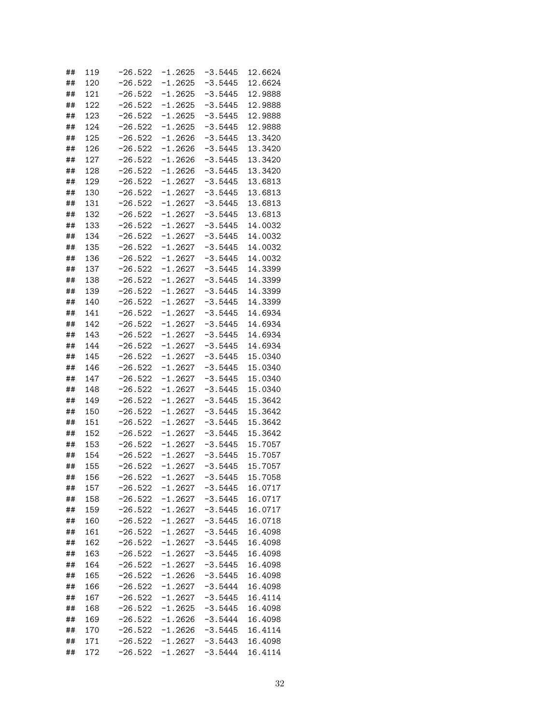| ## | 119 | $-26.522$ | $-1.2625$ | $-3.5445$ | 12.6624 |
|----|-----|-----------|-----------|-----------|---------|
| ## | 120 | -26.522   | $-1.2625$ | -3.5445   | 12.6624 |
| ## | 121 | $-26.522$ | $-1.2625$ | -3.5445   | 12.9888 |
| ## | 122 | -26.522   | $-1.2625$ | -3.5445   | 12.9888 |
| ## | 123 | -26.522   | -1.2625   | $-3.5445$ | 12.9888 |
| ## | 124 | $-26.522$ | -1.2625   | -3.5445   | 12.9888 |
| ## | 125 | $-26.522$ | $-1.2626$ | -3.5445   | 13.3420 |
| ## | 126 | -26.522   | $-1.2626$ | -3.5445   | 13.3420 |
| ## | 127 | -26.522   | $-1.2626$ | $-3.5445$ | 13.3420 |
| ## | 128 | -26.522   | $-1.2626$ | -3.5445   | 13.3420 |
| ## | 129 | -26.522   | $-1.2627$ | $-3.5445$ | 13.6813 |
| ## | 130 | -26.522   | $-1.2627$ | $-3.5445$ | 13.6813 |
| ## | 131 | -26.522   | $-1.2627$ | $-3.5445$ | 13.6813 |
| ## | 132 | -26.522   | $-1.2627$ | $-3.5445$ | 13.6813 |
| ## | 133 | -26.522   | $-1.2627$ | $-3.5445$ | 14.0032 |
| ## | 134 | -26.522   | $-1.2627$ | $-3.5445$ | 14.0032 |
| ## | 135 | -26.522   | $-1.2627$ | $-3.5445$ | 14.0032 |
| ## | 136 | $-26.522$ | $-1.2627$ | $-3.5445$ | 14.0032 |
| ## | 137 | $-26.522$ | -1.2627   | $-3.5445$ | 14.3399 |
| ## | 138 | -26.522   | $-1.2627$ | $-3.5445$ | 14.3399 |
| ## | 139 | -26.522   | $-1.2627$ | -3.5445   | 14.3399 |
| ## | 140 | -26.522   | $-1.2627$ | -3.5445   | 14.3399 |
|    | 141 |           | $-1.2627$ |           | 14.6934 |
| ## |     | -26.522   |           | -3.5445   |         |
| ## | 142 | -26.522   | $-1.2627$ | $-3.5445$ | 14.6934 |
| ## | 143 | -26.522   | $-1.2627$ | -3.5445   | 14.6934 |
| ## | 144 | $-26.522$ | $-1.2627$ | $-3.5445$ | 14.6934 |
| ## | 145 | $-26.522$ | $-1.2627$ | -3.5445   | 15.0340 |
| ## | 146 | $-26.522$ | $-1.2627$ | -3.5445   | 15.0340 |
| ## | 147 | $-26.522$ | $-1.2627$ | -3.5445   | 15.0340 |
| ## | 148 | $-26.522$ | $-1.2627$ | -3.5445   | 15.0340 |
| ## | 149 | $-26.522$ | $-1.2627$ | -3.5445   | 15.3642 |
| ## | 150 | $-26.522$ | $-1.2627$ | -3.5445   | 15.3642 |
| ## | 151 | $-26.522$ | $-1.2627$ | -3.5445   | 15.3642 |
| ## | 152 | $-26.522$ | $-1.2627$ | -3.5445   | 15.3642 |
| ## | 153 | $-26.522$ | $-1.2627$ | $-3.5445$ | 15.7057 |
| ## | 154 | $-26.522$ | -1.2627   | $-3.5445$ | 15.7057 |
| ## | 155 | $-26.522$ | $-1.2627$ | $-3.5445$ | 15.7057 |
| ## | 156 | -26.522   | $-1.2627$ | $-3.5445$ | 15.7058 |
| ## | 157 | $-26.522$ | -1.2627   | $-3.5445$ | 16.0717 |
| ## | 158 | $-26.522$ | $-1.2627$ | $-3.5445$ | 16.0717 |
| ## | 159 | $-26.522$ | $-1.2627$ | $-3.5445$ | 16.0717 |
| ## | 160 | $-26.522$ | $-1.2627$ | $-3.5445$ | 16.0718 |
| ## | 161 | $-26.522$ | $-1.2627$ | $-3.5445$ | 16.4098 |
| ## | 162 | $-26.522$ | $-1.2627$ | $-3.5445$ | 16.4098 |
| ## | 163 | $-26.522$ | $-1.2627$ | $-3.5445$ | 16.4098 |
| ## | 164 | $-26.522$ | $-1.2627$ | $-3.5445$ | 16.4098 |
| ## | 165 | $-26.522$ | $-1.2626$ | $-3.5445$ | 16.4098 |
| ## | 166 | $-26.522$ | $-1.2627$ | $-3.5444$ | 16.4098 |
| ## | 167 | $-26.522$ | $-1.2627$ | $-3.5445$ | 16.4114 |
| ## | 168 | $-26.522$ | $-1.2625$ | $-3.5445$ | 16.4098 |
| ## | 169 | $-26.522$ | $-1.2626$ | $-3.5444$ | 16.4098 |
| ## | 170 | $-26.522$ | $-1.2626$ | $-3.5445$ | 16.4114 |
| ## | 171 | $-26.522$ | $-1.2627$ | $-3.5443$ | 16.4098 |
| ## | 172 | $-26.522$ | $-1.2627$ | $-3.5444$ | 16.4114 |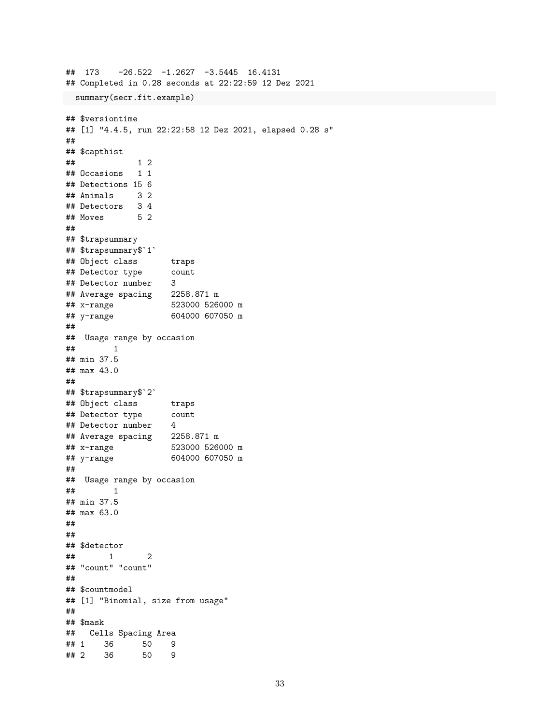```
## 173 -26.522 -1.2627 -3.5445 16.4131
## Completed in 0.28 seconds at 22:22:59 12 Dez 2021
summary(secr.fit.example)
## $versiontime
## [1] "4.4.5, run 22:22:58 12 Dez 2021, elapsed 0.28 s"
##
## $capthist
## 1 2
## Occasions 1 1
## Detections 15 6
## Animals 3 2
## Detectors 3 4
## Moves 5 2
##
## $trapsummary
## $trapsummary$`1`
## Object class traps
## Detector type
## Detector number 3
## Average spacing 2258.871 m
## x-range 523000 526000 m
## y-range 604000 607050 m
##
## Usage range by occasion
## 1
## min 37.5
## max 43.0
##
## $trapsummary$`2`
## Object class traps
## Detector type count
## Detector number 4
## Average spacing 2258.871 m
## x-range 523000 526000 m
## y-range 604000 607050 m
##
## Usage range by occasion
## 1
## min 37.5
## max 63.0
##
##
## $detector
## 1 2
## "count" "count"
##
## $countmodel
## [1] "Binomial, size from usage"
##
## $mask
## Cells Spacing Area
      36 50 9
## 2 36 50 9
```